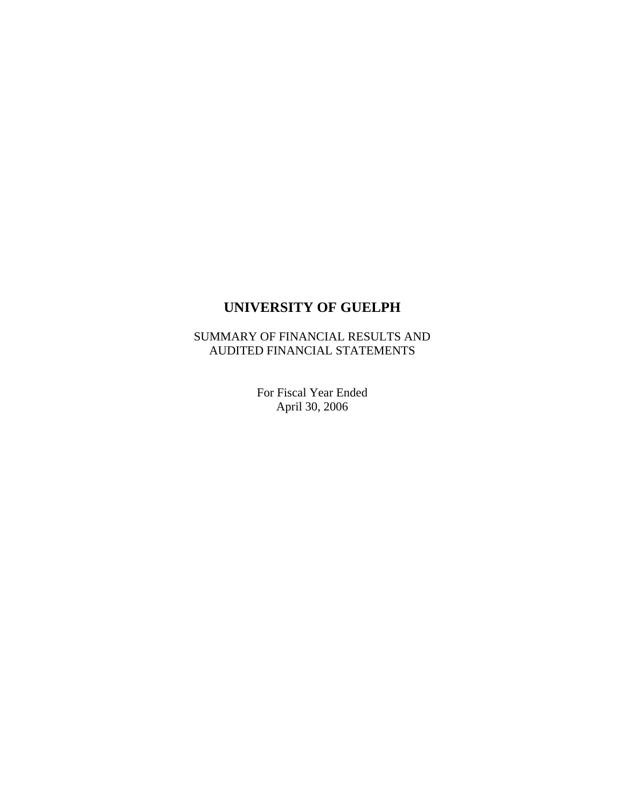# **UNIVERSITY OF GUELPH**

SUMMARY OF FINANCIAL RESULTS AND AUDITED FINANCIAL STATEMENTS

> For Fiscal Year Ended April 30, 2006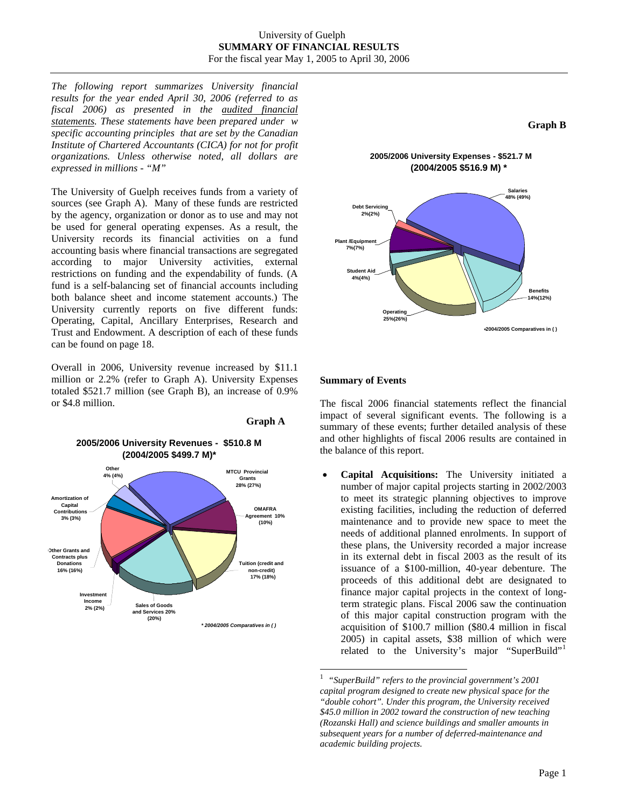*The following report summarizes University financial results for the year ended April 30, 2006 (referred to as fiscal 2006) as presented in the audited financial statements. These statements have been prepared under w specific accounting principles that are set by the Canadian Institute of Chartered Accountants (CICA) for not for profit organizations. Unless otherwise noted, all dollars are expressed in millions - "M"* 

The University of Guelph receives funds from a variety of sources (see Graph A). Many of these funds are restricted by the agency, organization or donor as to use and may not be used for general operating expenses. As a result, the University records its financial activities on a fund accounting basis where financial transactions are segregated according to major University activities, external restrictions on funding and the expendability of funds. (A fund is a self-balancing set of financial accounts including both balance sheet and income statement accounts.) The University currently reports on five different funds: Operating, Capital, Ancillary Enterprises, Research and Trust and Endowment. A description of each of these funds can be found on page 18.

Overall in 2006, University revenue increased by \$11.1 million or 2.2% (refer to Graph A). University Expenses totaled \$521.7 million (see Graph B), an increase of 0.9% or \$4.8 million.

<span id="page-1-0"></span>



#### **Summary of Events**

The fiscal 2006 financial statements reflect the financial impact of several significant events. The following is a summary of these events; further detailed analysis of these and other highlights of fiscal 2006 results are contained in the balance of this report.

• **Capital Acquisitions:** The University initiated a number of major capital projects starting in 2002/2003 to meet its strategic planning objectives to improve existing facilities, including the reduction of deferred maintenance and to provide new space to meet the needs of additional planned enrolments. In support of these plans, the University recorded a major increase in its external debt in fiscal 2003 as the result of its issuance of a \$100-million, 40-year debenture. The proceeds of this additional debt are designated to finance major capital projects in the context of longterm strategic plans. Fiscal 2006 saw the continuation of this major capital construction program with the acquisition of \$100.7 million (\$80.4 million in fiscal 2005) in capital assets, \$38 million of which were related to the University's major "SuperBuild"<sup>[1](#page-1-0)</sup>

<sup>|&</sup>lt;br>|<br>| *"SuperBuild" refers to the provincial government's 2001 capital program designed to create new physical space for the "double cohort". Under this program, the University received \$45.0 million in 2002 toward the construction of new teaching (Rozanski Hall) and science buildings and smaller amounts in subsequent years for a number of deferred-maintenance and academic building projects.*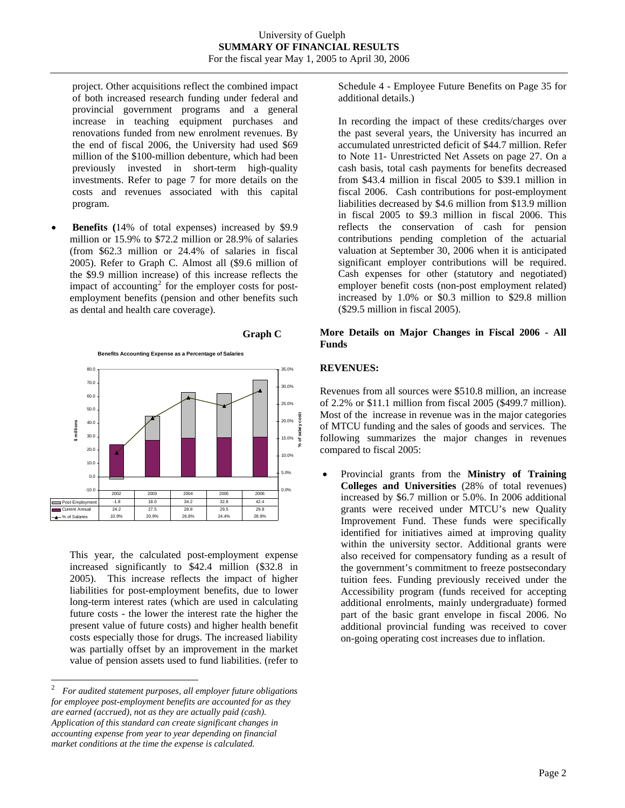project. Other acquisitions reflect the combined impact of both increased research funding under federal and provincial government programs and a general increase in teaching equipment purchases and renovations funded from new enrolment revenues. By the end of fiscal 2006, the University had used \$69 million of the \$100-million debenture, which had been previously invested in short-term high-quality investments. Refer to page 7 for more details on the costs and revenues associated with this capital program.

**Benefits** (14% of total expenses) increased by \$9.9 million or 15.9% to \$72.2 million or 28.9% of salaries (from \$62.3 million or 24.4% of salaries in fiscal 2005). Refer to Graph C. Almost all (\$9.6 million of the \$9.9 million increase) of this increase reflects the impact of accounting<sup>[2](#page-2-0)</sup> for the employer costs for postemployment benefits (pension and other benefits such as dental and health care coverage).



This year, the calculated post-employment expense increased significantly to \$42.4 million (\$32.8 in 2005). This increase reflects the impact of higher liabilities for post-employment benefits, due to lower long-term interest rates (which are used in calculating future costs - the lower the interest rate the higher the present value of future costs) and higher health benefit costs especially those for drugs. The increased liability was partially offset by an improvement in the market value of pension assets used to fund liabilities. (refer to

Schedule 4 - Employee Future Benefits on Page 35 for additional details.)

In recording the impact of these credits/charges over the past several years, the University has incurred an accumulated unrestricted deficit of \$44.7 million. Refer to Note 11- Unrestricted Net Assets on page 27. On a cash basis, total cash payments for benefits decreased from \$43.4 million in fiscal 2005 to \$39.1 million in fiscal 2006. Cash contributions for post-employment liabilities decreased by \$4.6 million from \$13.9 million in fiscal 2005 to \$9.3 million in fiscal 2006. This reflects the conservation of cash for pension contributions pending completion of the actuarial valuation at September 30, 2006 when it is anticipated significant employer contributions will be required. Cash expenses for other (statutory and negotiated) employer benefit costs (non-post employment related) increased by 1.0% or \$0.3 million to \$29.8 million (\$29.5 million in fiscal 2005).

#### **More Details on Major Changes in Fiscal 2006 - All Funds**

### **REVENUES:**

Revenues from all sources were \$510.8 million, an increase of 2.2% or \$11.1 million from fiscal 2005 (\$499.7 million). Most of the increase in revenue was in the major categories of MTCU funding and the sales of goods and services. The following summarizes the major changes in revenues compared to fiscal 2005:

• Provincial grants from the **Ministry of Training Colleges and Universities** (28% of total revenues) increased by \$6.7 million or 5.0%. In 2006 additional grants were received under MTCU's new Quality Improvement Fund. These funds were specifically identified for initiatives aimed at improving quality within the university sector. Additional grants were also received for compensatory funding as a result of the government's commitment to freeze postsecondary tuition fees. Funding previously received under the Accessibility program (funds received for accepting additional enrolments, mainly undergraduate) formed part of the basic grant envelope in fiscal 2006. No additional provincial funding was received to cover on-going operating cost increases due to inflation.

<span id="page-2-0"></span><sup>&</sup>lt;sup>2</sup> *For audited statement purposes, all employer future obligations for employee post-employment benefits are accounted for as they are earned (accrued), not as they are actually paid (cash). Application of this standard can create significant changes in accounting expense from year to year depending on financial market conditions at the time the expense is calculated.*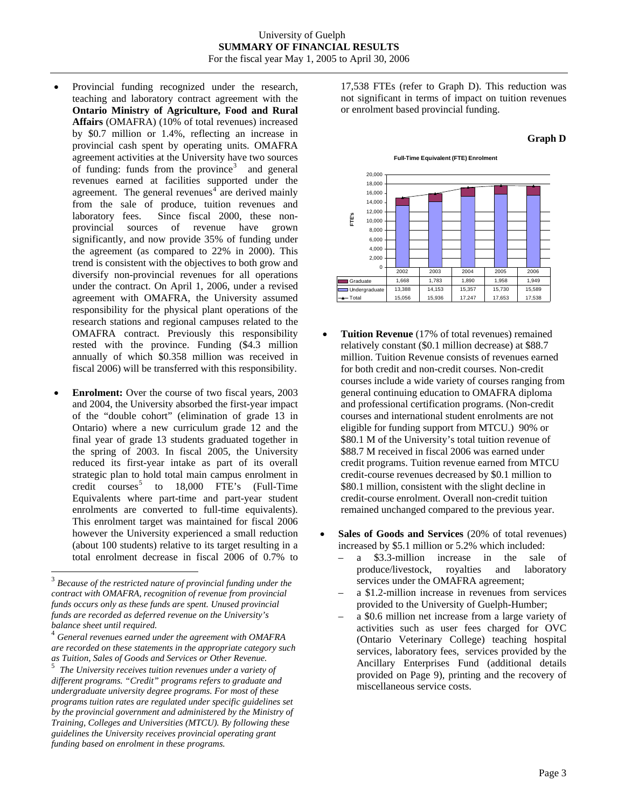#### University of Guelph **SUMMARY OF FINANCIAL RESULTS**  For the fiscal year May 1, 2005 to April 30, 2006

- Provincial funding recognized under the research, teaching and laboratory contract agreement with the **Ontario Ministry of Agriculture, Food and Rural Affairs** (OMAFRA) (10% of total revenues) increased by \$0.7 million or 1.4%, reflecting an increase in provincial cash spent by operating units. OMAFRA agreement activities at the University have two sources of funding: funds from the province<sup>[3](#page-3-0)</sup> and general revenues earned at facilities supported under the agreement. The general revenues<sup> $4$ </sup> are derived mainly from the sale of produce, tuition revenues and laboratory fees. Since fiscal 2000, these nonprovincial sources of revenue have grown significantly, and now provide 35% of funding under the agreement (as compared to 22% in 2000). This trend is consistent with the objectives to both grow and diversify non-provincial revenues for all operations under the contract. On April 1, 2006, under a revised agreement with OMAFRA, the University assumed responsibility for the physical plant operations of the research stations and regional campuses related to the OMAFRA contract. Previously this responsibility rested with the province. Funding (\$4.3 million annually of which \$0.358 million was received in fiscal 2006) will be transferred with this responsibility.
- **Enrolment:** Over the course of two fiscal years, 2003 and 2004, the University absorbed the first-year impact of the "double cohort" (elimination of grade 13 in Ontario) where a new curriculum grade 12 and the final year of grade 13 students graduated together in the spring of 2003. In fiscal 2005, the University reduced its first-year intake as part of its overall strategic plan to hold total main campus enrolment in credit courses<sup>[5](#page-3-2)</sup> to  $18,000$  FTE's (Full-Time Equivalents where part-time and part-year student enrolments are converted to full-time equivalents). This enrolment target was maintained for fiscal 2006 however the University experienced a small reduction (about 100 students) relative to its target resulting in a total enrolment decrease in fiscal 2006 of 0.7% to

l

17,538 FTEs (refer to Graph D). This reduction was not significant in terms of impact on tuition revenues or enrolment based provincial funding.

#### **Graph D**





- **Tuition Revenue** (17% of total revenues) remained relatively constant (\$0.1 million decrease) at \$88.7 million. Tuition Revenue consists of revenues earned for both credit and non-credit courses. Non-credit courses include a wide variety of courses ranging from general continuing education to OMAFRA diploma and professional certification programs. (Non-credit courses and international student enrolments are not eligible for funding support from MTCU.) 90% or \$80.1 M of the University's total tuition revenue of \$88.7 M received in fiscal 2006 was earned under credit programs. Tuition revenue earned from MTCU credit-course revenues decreased by \$0.1 million to \$80.1 million, consistent with the slight decline in credit-course enrolment. Overall non-credit tuition remained unchanged compared to the previous year.
- **Sales of Goods and Services** (20% of total revenues) increased by \$5.1 million or 5.2% which included:
	- a \$3.3-million increase in the sale of produce/livestock, royalties and laboratory services under the OMAFRA agreement;
	- a \$1.2-million increase in revenues from services provided to the University of Guelph-Humber;
	- a \$0.6 million net increase from a large variety of activities such as user fees charged for OVC (Ontario Veterinary College) teaching hospital services, laboratory fees, services provided by the Ancillary Enterprises Fund (additional details provided on Page 9), printing and the recovery of miscellaneous service costs.

<span id="page-3-0"></span><sup>3</sup> *Because of the restricted nature of provincial funding under the contract with OMAFRA, recognition of revenue from provincial funds occurs only as these funds are spent. Unused provincial funds are recorded as deferred revenue on the University's balance sheet until required.* 

<span id="page-3-1"></span><sup>4</sup> *General revenues earned under the agreement with OMAFRA are recorded on these statements in the appropriate category such as Tuition, Sales of Goods and Services or Other Revenue.* <sup>5</sup>

<span id="page-3-2"></span>*The University receives tuition revenues under a variety of different programs. "Credit" programs refers to graduate and undergraduate university degree programs. For most of these programs tuition rates are regulated under specific guidelines set by the provincial government and administered by the Ministry of Training, Colleges and Universities (MTCU). By following these guidelines the University receives provincial operating grant funding based on enrolment in these programs.*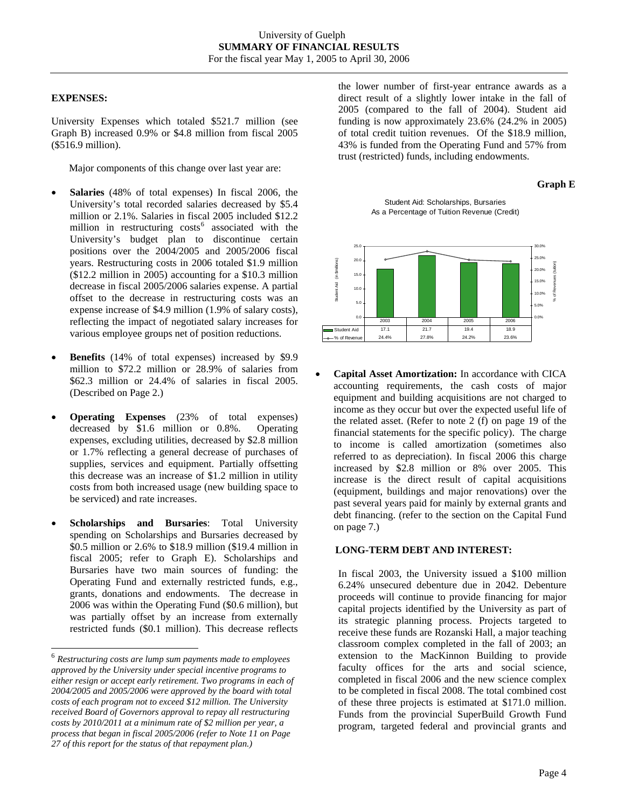### **EXPENSES:**

University Expenses which totaled \$521.7 million (see Graph B) increased 0.9% or \$4.8 million from fiscal 2005 (\$516.9 million).

Major components of this change over last year are:

- **Salaries** (48% of total expenses) In fiscal 2006, the University's total recorded salaries decreased by \$5.4 million or 2.1%. Salaries in fiscal 2005 included \$12.2 million in restructuring  $costs<sup>6</sup>$  $costs<sup>6</sup>$  $costs<sup>6</sup>$  associated with the University's budget plan to discontinue certain positions over the 2004/2005 and 2005/2006 fiscal years. Restructuring costs in 2006 totaled \$1.9 million (\$12.2 million in 2005) accounting for a \$10.3 million decrease in fiscal 2005/2006 salaries expense. A partial offset to the decrease in restructuring costs was an expense increase of \$4.9 million (1.9% of salary costs), reflecting the impact of negotiated salary increases for various employee groups net of position reductions.
- **Benefits** (14% of total expenses) increased by \$9.9 million to \$72.2 million or 28.9% of salaries from \$62.3 million or 24.4% of salaries in fiscal 2005. (Described on Page 2.)
- **Operating Expenses** (23% of total expenses) decreased by \$1.6 million or 0.8%. Operating expenses, excluding utilities, decreased by \$2.8 million or 1.7% reflecting a general decrease of purchases of supplies, services and equipment. Partially offsetting this decrease was an increase of \$1.2 million in utility costs from both increased usage (new building space to be serviced) and rate increases.
- **Scholarships and Bursaries**: Total University spending on Scholarships and Bursaries decreased by \$0.5 million or 2.6% to \$18.9 million (\$19.4 million in fiscal 2005; refer to Graph E). Scholarships and Bursaries have two main sources of funding: the Operating Fund and externally restricted funds, e.g., grants, donations and endowments. The decrease in 2006 was within the Operating Fund (\$0.6 million), but was partially offset by an increase from externally restricted funds (\$0.1 million). This decrease reflects

l

the lower number of first-year entrance awards as a direct result of a slightly lower intake in the fall of 2005 (compared to the fall of 2004). Student aid funding is now approximately 23.6% (24.2% in 2005) of total credit tuition revenues. Of the \$18.9 million, 43% is funded from the Operating Fund and 57% from trust (restricted) funds, including endowments.

### **Graph E**

Student Aid: Scholarships, Bursaries As a Percentage of Tuition Revenue (Credit)



• **Capital Asset Amortization:** In accordance with CICA accounting requirements, the cash costs of major equipment and building acquisitions are not charged to income as they occur but over the expected useful life of the related asset. (Refer to note 2 (f) on page 19 of the financial statements for the specific policy). The charge to income is called amortization (sometimes also referred to as depreciation). In fiscal 2006 this charge increased by \$2.8 million or 8% over 2005. This increase is the direct result of capital acquisitions (equipment, buildings and major renovations) over the past several years paid for mainly by external grants and debt financing. (refer to the section on the Capital Fund on page 7.)

### **LONG-TERM DEBT AND INTEREST:**

In fiscal 2003, the University issued a \$100 million 6.24% unsecured debenture due in 2042. Debenture proceeds will continue to provide financing for major capital projects identified by the University as part of its strategic planning process. Projects targeted to receive these funds are Rozanski Hall, a major teaching classroom complex completed in the fall of 2003; an extension to the MacKinnon Building to provide faculty offices for the arts and social science, completed in fiscal 2006 and the new science complex to be completed in fiscal 2008. The total combined cost of these three projects is estimated at \$171.0 million. Funds from the provincial SuperBuild Growth Fund program, targeted federal and provincial grants and

<span id="page-4-0"></span><sup>6</sup> *Restructuring costs are lump sum payments made to employees approved by the University under special incentive programs to either resign or accept early retirement. Two programs in each of 2004/2005 and 2005/2006 were approved by the board with total costs of each program not to exceed \$12 million. The University received Board of Governors approval to repay all restructuring costs by 2010/2011 at a minimum rate of \$2 million per year, a process that began in fiscal 2005/2006 (refer to Note 11 on Page 27 of this report for the status of that repayment plan.)*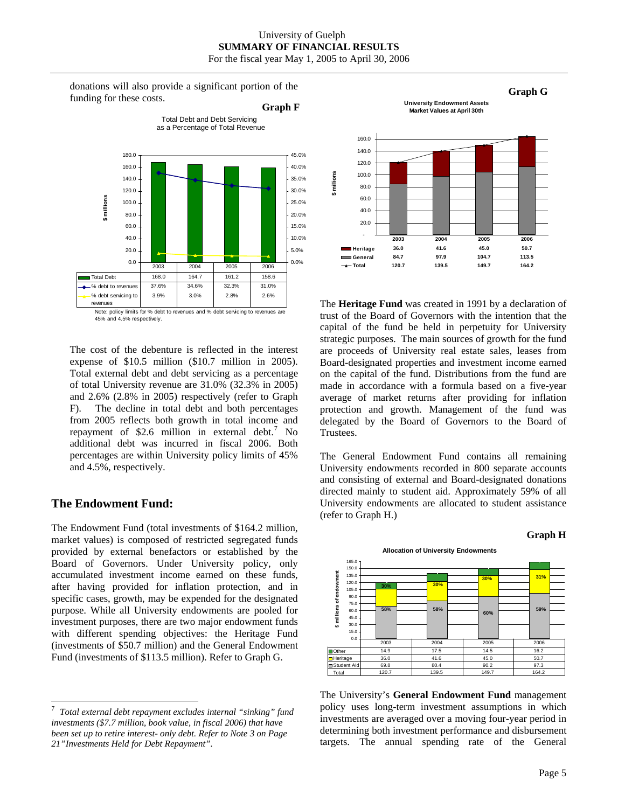donations will also provide a significant portion of the funding for these costs. **Graph F**

Total Debt and Debt Servicing



45% and 4.5% respectively.

The cost of the debenture is reflected in the interest expense of \$10.5 million (\$10.7 million in 2005). Total external debt and debt servicing as a percentage of total University revenue are 31.0% (32.3% in 2005) and 2.6% (2.8% in 2005) respectively (refer to Graph F). The decline in total debt and both percentages from 2005 reflects both growth in total income and repayment of \$2.6 million in external debt.<sup>[7](#page-5-0)</sup> No additional debt was incurred in fiscal 2006. Both percentages are within University policy limits of 45% and 4.5%, respectively.

### **The Endowment Fund:**

l

The Endowment Fund (total investments of \$164.2 million, market values) is composed of restricted segregated funds provided by external benefactors or established by the Board of Governors. Under University policy, only accumulated investment income earned on these funds, after having provided for inflation protection, and in specific cases, growth, may be expended for the designated purpose. While all University endowments are pooled for investment purposes, there are two major endowment funds with different spending objectives: the Heritage Fund (investments of \$50.7 million) and the General Endowment Fund (investments of \$113.5 million). Refer to Graph G.



The **Heritage Fund** was created in 1991 by a declaration of trust of the Board of Governors with the intention that the capital of the fund be held in perpetuity for University strategic purposes. The main sources of growth for the fund are proceeds of University real estate sales, leases from Board-designated properties and investment income earned on the capital of the fund. Distributions from the fund are made in accordance with a formula based on a five-year average of market returns after providing for inflation protection and growth. Management of the fund was delegated by the Board of Governors to the Board of Trustees.

The General Endowment Fund contains all remaining University endowments recorded in 800 separate accounts and consisting of external and Board-designated donations directed mainly to student aid. Approximately 59% of all University endowments are allocated to student assistance (refer to Graph H.)

#### **Graph H**



The University's **General Endowment Fund** management policy uses long-term investment assumptions in which investments are averaged over a moving four-year period in determining both investment performance and disbursement targets. The annual spending rate of the General

<span id="page-5-0"></span><sup>7</sup> *Total external debt repayment excludes internal "sinking" fund investments (\$7.7 million, book value, in fiscal 2006) that have been set up to retire interest- only debt. Refer to Note 3 on Page 21"Investments Held for Debt Repayment".*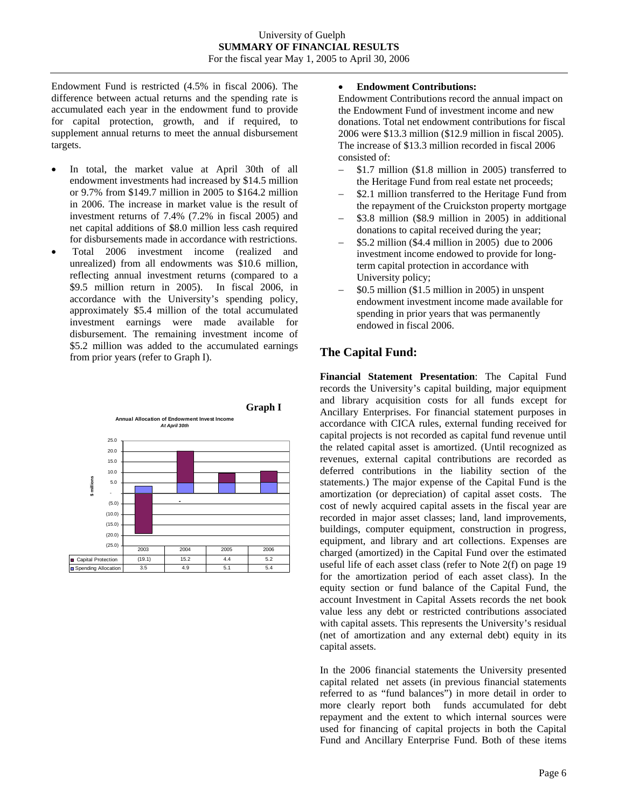Endowment Fund is restricted (4.5% in fiscal 2006). The difference between actual returns and the spending rate is accumulated each year in the endowment fund to provide for capital protection, growth, and if required, to supplement annual returns to meet the annual disbursement targets.

- In total, the market value at April 30th of all endowment investments had increased by \$14.5 million or 9.7% from \$149.7 million in 2005 to \$164.2 million in 2006. The increase in market value is the result of investment returns of 7.4% (7.2% in fiscal 2005) and net capital additions of \$8.0 million less cash required for disbursements made in accordance with restrictions.
- Total 2006 investment income (realized and unrealized) from all endowments was \$10.6 million, reflecting annual investment returns (compared to a \$9.5 million return in 2005). In fiscal 2006, in accordance with the University's spending policy, approximately \$5.4 million of the total accumulated investment earnings were made available for disbursement. The remaining investment income of \$5.2 million was added to the accumulated earnings from prior years (refer to Graph I).



#### • **Endowment Contributions:**

Endowment Contributions record the annual impact on the Endowment Fund of investment income and new donations. Total net endowment contributions for fiscal 2006 were \$13.3 million (\$12.9 million in fiscal 2005). The increase of \$13.3 million recorded in fiscal 2006 consisted of:

- − \$1.7 million (\$1.8 million in 2005) transferred to the Heritage Fund from real estate net proceeds;
- − \$2.1 million transferred to the Heritage Fund from the repayment of the Cruickston property mortgage
- − \$3.8 million (\$8.9 million in 2005) in additional donations to capital received during the year;
- − \$5.2 million (\$4.4 million in 2005) due to 2006 investment income endowed to provide for longterm capital protection in accordance with University policy;
- $$0.5$  million  $$1.5$  million in 2005) in unspent endowment investment income made available for spending in prior years that was permanently endowed in fiscal 2006.

# **The Capital Fund:**

**Financial Statement Presentation**: The Capital Fund records the University's capital building, major equipment and library acquisition costs for all funds except for Ancillary Enterprises. For financial statement purposes in accordance with CICA rules, external funding received for capital projects is not recorded as capital fund revenue until the related capital asset is amortized. (Until recognized as revenues, external capital contributions are recorded as deferred contributions in the liability section of the statements.) The major expense of the Capital Fund is the amortization (or depreciation) of capital asset costs. The cost of newly acquired capital assets in the fiscal year are recorded in major asset classes; land, land improvements, buildings, computer equipment, construction in progress, equipment, and library and art collections. Expenses are charged (amortized) in the Capital Fund over the estimated useful life of each asset class (refer to Note 2(f) on page 19 for the amortization period of each asset class). In the equity section or fund balance of the Capital Fund, the account Investment in Capital Assets records the net book value less any debt or restricted contributions associated with capital assets. This represents the University's residual (net of amortization and any external debt) equity in its capital assets.

In the 2006 financial statements the University presented capital related net assets (in previous financial statements referred to as "fund balances") in more detail in order to more clearly report both funds accumulated for debt repayment and the extent to which internal sources were used for financing of capital projects in both the Capital Fund and Ancillary Enterprise Fund. Both of these items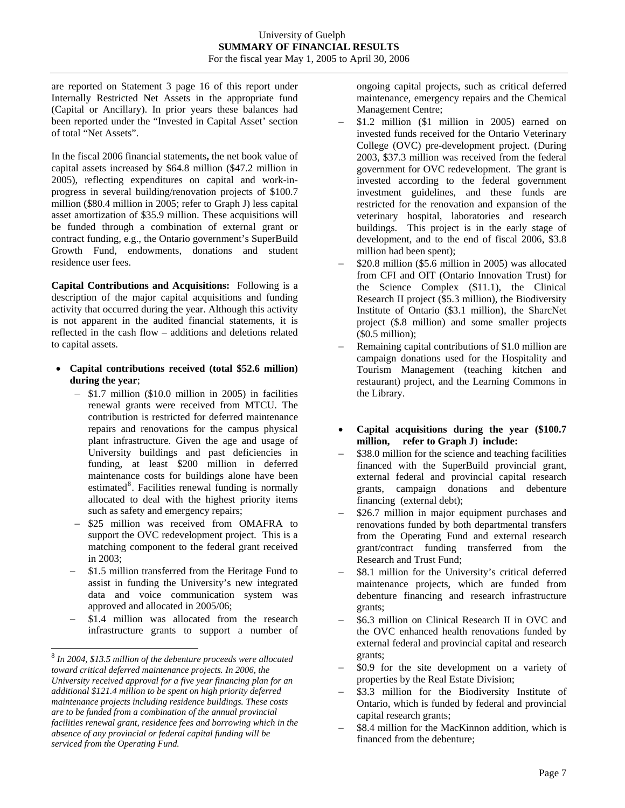are reported on Statement 3 page 16 of this report under Internally Restricted Net Assets in the appropriate fund (Capital or Ancillary). In prior years these balances had been reported under the "Invested in Capital Asset' section of total "Net Assets".

In the fiscal 2006 financial statements**,** the net book value of capital assets increased by \$64.8 million (\$47.2 million in 2005), reflecting expenditures on capital and work-inprogress in several building/renovation projects of \$100.7 million (\$80.4 million in 2005; refer to Graph J) less capital asset amortization of \$35.9 million. These acquisitions will be funded through a combination of external grant or contract funding, e.g., the Ontario government's SuperBuild Growth Fund, endowments, donations and student residence user fees.

**Capital Contributions and Acquisitions:** Following is a description of the major capital acquisitions and funding activity that occurred during the year. Although this activity is not apparent in the audited financial statements, it is reflected in the cash flow – additions and deletions related to capital assets.

- **Capital contributions received (total \$52.6 million) during the year**;
	- − \$1.7 million (\$10.0 million in 2005) in facilities renewal grants were received from MTCU. The contribution is restricted for deferred maintenance repairs and renovations for the campus physical plant infrastructure. Given the age and usage of University buildings and past deficiencies in funding, at least \$200 million in deferred maintenance costs for buildings alone have been estimated<sup>[8](#page-7-0)</sup>. Facilities renewal funding is normally allocated to deal with the highest priority items such as safety and emergency repairs;
	- − \$25 million was received from OMAFRA to support the OVC redevelopment project. This is a matching component to the federal grant received in 2003;
	- − \$1.5 million transferred from the Heritage Fund to assist in funding the University's new integrated data and voice communication system was approved and allocated in 2005/06;
	- \$1.4 million was allocated from the research infrastructure grants to support a number of

l

ongoing capital projects, such as critical deferred maintenance, emergency repairs and the Chemical Management Centre;

- − \$1.2 million (\$1 million in 2005) earned on invested funds received for the Ontario Veterinary College (OVC) pre-development project. (During 2003, \$37.3 million was received from the federal government for OVC redevelopment. The grant is invested according to the federal government investment guidelines, and these funds are restricted for the renovation and expansion of the veterinary hospital, laboratories and research buildings. This project is in the early stage of development, and to the end of fiscal 2006, \$3.8 million had been spent);
- − \$20.8 million (\$5.6 million in 2005) was allocated from CFI and OIT (Ontario Innovation Trust) for the Science Complex (\$11.1), the Clinical Research II project (\$5.3 million), the Biodiversity Institute of Ontario (\$3.1 million), the SharcNet project (\$.8 million) and some smaller projects (\$0.5 million);
- Remaining capital contributions of \$1.0 million are campaign donations used for the Hospitality and Tourism Management (teaching kitchen and restaurant) project, and the Learning Commons in the Library.
- **Capital acquisitions during the year (\$100.7 million, refer to Graph J**) **include:**
- − \$38.0 million for the science and teaching facilities financed with the SuperBuild provincial grant, external federal and provincial capital research grants, campaign donations and debenture financing (external debt);
- − \$26.7 million in major equipment purchases and renovations funded by both departmental transfers from the Operating Fund and external research grant/contract funding transferred from the Research and Trust Fund;
- − \$8.1 million for the University's critical deferred maintenance projects, which are funded from debenture financing and research infrastructure grants;
- − \$6.3 million on Clinical Research II in OVC and the OVC enhanced health renovations funded by external federal and provincial capital and research grants;
- − \$0.9 for the site development on a variety of properties by the Real Estate Division;
- − \$3.3 million for the Biodiversity Institute of Ontario, which is funded by federal and provincial capital research grants;
- − \$8.4 million for the MacKinnon addition, which is financed from the debenture;

<span id="page-7-0"></span><sup>8</sup>  *In 2004, \$13.5 million of the debenture proceeds were allocated toward critical deferred maintenance projects. In 2006, the University received approval for a five year financing plan for an additional \$121.4 million to be spent on high priority deferred maintenance projects including residence buildings. These costs are to be funded from a combination of the annual provincial facilities renewal grant, residence fees and borrowing which in the absence of any provincial or federal capital funding will be serviced from the Operating Fund.*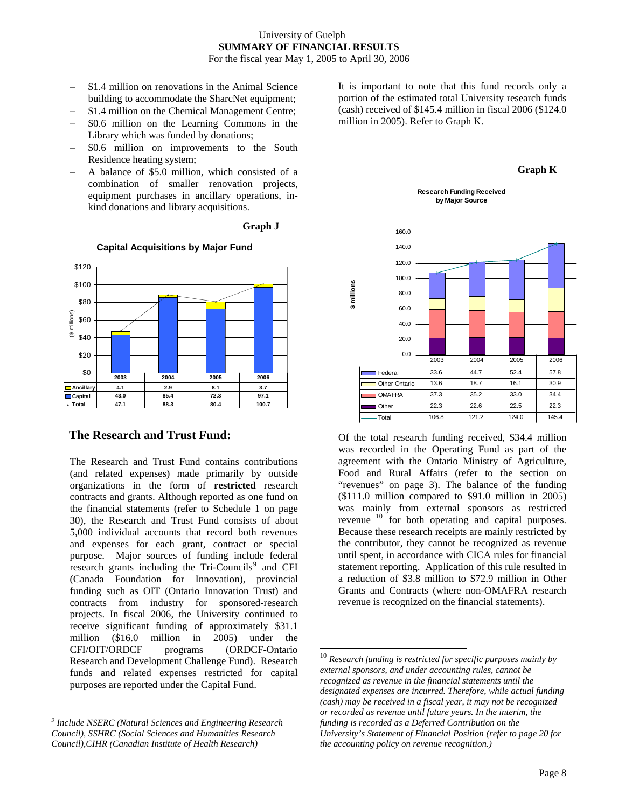$\overline{a}$ 

- − \$1.4 million on renovations in the Animal Science building to accommodate the SharcNet equipment;
- − \$1.4 million on the Chemical Management Centre;
- − \$0.6 million on the Learning Commons in the Library which was funded by donations;
- \$0.6 million on improvements to the South Residence heating system;
- A balance of \$5.0 million, which consisted of a combination of smaller renovation projects, equipment purchases in ancillary operations, inkind donations and library acquisitions.





#### **Capital Acquisitions by Major Fund**

### **The Research and Trust Fund:**

The Research and Trust Fund contains contributions (and related expenses) made primarily by outside organizations in the form of **restricted** research contracts and grants. Although reported as one fund on the financial statements (refer to Schedule 1 on page 30), the Research and Trust Fund consists of about 5,000 individual accounts that record both revenues and expenses for each grant, contract or special purpose. Major sources of funding include federal research grants including the Tri-Councils<sup>[9](#page-8-0)</sup> and CFI (Canada Foundation for Innovation), provincial funding such as OIT (Ontario Innovation Trust) and contracts from industry for sponsored-research projects. In fiscal 2006, the University continued to receive significant funding of approximately \$31.1 million (\$16.0 million in 2005) under the CFI/OIT/ORDCF programs (ORDCF-Ontario Research and Development Challenge Fund). Research funds and related expenses restricted for capital purposes are reported under the Capital Fund.

<span id="page-8-1"></span>l

It is important to note that this fund records only a portion of the estimated total University research funds (cash) received of \$145.4 million in fiscal 2006 (\$124.0 million in 2005). Refer to Graph K.



**Research Funding Received by Major Source** 



Of the total research funding received, \$34.4 million was recorded in the Operating Fund as part of the agreement with the Ontario Ministry of Agriculture, Food and Rural Affairs (refer to the section on "revenues" on page 3). The balance of the funding (\$111.0 million compared to \$91.0 million in 2005) was mainly from external sponsors as restricted revenue <sup>[10](#page-8-1)</sup> for both operating and capital purposes. Because these research receipts are mainly restricted by the contributor, they cannot be recognized as revenue until spent, in accordance with CICA rules for financial statement reporting. Application of this rule resulted in a reduction of \$3.8 million to \$72.9 million in Other Grants and Contracts (where non-OMAFRA research revenue is recognized on the financial statements).

<span id="page-8-0"></span>*<sup>9</sup> Include NSERC (Natural Sciences and Engineering Research Council), SSHRC (Social Sciences and Humanities Research Council),CIHR (Canadian Institute of Health Research)* 

 <sup>10</sup> *Research funding is restricted for specific purposes mainly by external sponsors, and under accounting rules, cannot be recognized as revenue in the financial statements until the designated expenses are incurred. Therefore, while actual funding (cash) may be received in a fiscal year, it may not be recognized or recorded as revenue until future years. In the interim, the funding is recorded as a Deferred Contribution on the University's Statement of Financial Position (refer to page 20 for the accounting policy on revenue recognition.)*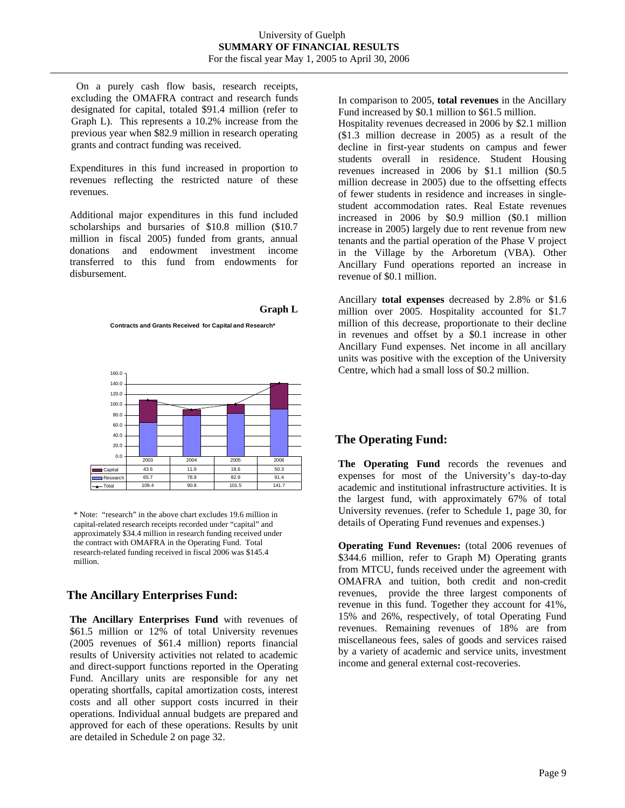On a purely cash flow basis, research receipts, excluding the OMAFRA contract and research funds designated for capital, totaled \$91.4 million (refer to Graph L). This represents a 10.2% increase from the previous year when \$82.9 million in research operating grants and contract funding was received.

Expenditures in this fund increased in proportion to revenues reflecting the restricted nature of these revenues.

Additional major expenditures in this fund included scholarships and bursaries of \$10.8 million (\$10.7 million in fiscal 2005) funded from grants, annual donations and endowment investment income transferred to this fund from endowments for disbursement.

#### **Graph L**

**Contracts and Grants Received for Capital and Research\***



\* Note: "research" in the above chart excludes 19.6 million in capital-related research receipts recorded under "capital" and approximately \$34.4 million in research funding received under the contract with OMAFRA in the Operating Fund. Total research-related funding received in fiscal 2006 was \$145.4 million.

# **The Ancillary Enterprises Fund:**

**The Ancillary Enterprises Fund** with revenues of \$61.5 million or 12% of total University revenues (2005 revenues of \$61.4 million) reports financial results of University activities not related to academic and direct-support functions reported in the Operating Fund. Ancillary units are responsible for any net operating shortfalls, capital amortization costs, interest costs and all other support costs incurred in their operations. Individual annual budgets are prepared and approved for each of these operations. Results by unit are detailed in Schedule 2 on page 32.

In comparison to 2005, **total revenues** in the Ancillary Fund increased by \$0.1 million to \$61.5 million.

Hospitality revenues decreased in 2006 by \$2.1 million (\$1.3 million decrease in 2005) as a result of the decline in first-year students on campus and fewer students overall in residence. Student Housing revenues increased in 2006 by \$1.1 million (\$0.5 million decrease in 2005) due to the offsetting effects of fewer students in residence and increases in singlestudent accommodation rates. Real Estate revenues increased in 2006 by \$0.9 million (\$0.1 million increase in 2005) largely due to rent revenue from new tenants and the partial operation of the Phase V project in the Village by the Arboretum (VBA). Other Ancillary Fund operations reported an increase in revenue of \$0.1 million.

Ancillary **total expenses** decreased by 2.8% or \$1.6 million over 2005. Hospitality accounted for \$1.7 million of this decrease, proportionate to their decline in revenues and offset by a \$0.1 increase in other Ancillary Fund expenses. Net income in all ancillary units was positive with the exception of the University Centre, which had a small loss of \$0.2 million.

### **The Operating Fund:**

**The Operating Fund** records the revenues and expenses for most of the University's day-to-day academic and institutional infrastructure activities. It is the largest fund, with approximately 67% of total University revenues. (refer to Schedule 1, page 30, for details of Operating Fund revenues and expenses.)

**Operating Fund Revenues:** (total 2006 revenues of \$344.6 million, refer to Graph M) Operating grants from MTCU, funds received under the agreement with OMAFRA and tuition, both credit and non-credit revenues, provide the three largest components of revenue in this fund. Together they account for 41%, 15% and 26%, respectively, of total Operating Fund revenues. Remaining revenues of 18% are from miscellaneous fees, sales of goods and services raised by a variety of academic and service units, investment income and general external cost-recoveries.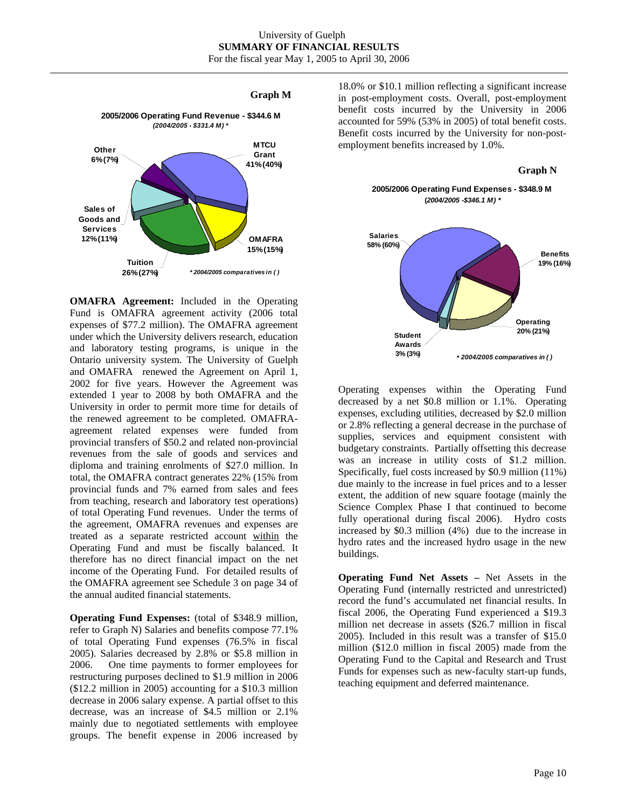#### **Graph M**



**OMAFRA Agreement:** Included in the Operating Fund is OMAFRA agreement activity (2006 total expenses of \$77.2 million). The OMAFRA agreement under which the University delivers research, education and laboratory testing programs, is unique in the Ontario university system. The University of Guelph and OMAFRA renewed the Agreement on April 1, 2002 for five years. However the Agreement was extended 1 year to 2008 by both OMAFRA and the University in order to permit more time for details of the renewed agreement to be completed. OMAFRAagreement related expenses were funded from provincial transfers of \$50.2 and related non-provincial revenues from the sale of goods and services and diploma and training enrolments of \$27.0 million. In total, the OMAFRA contract generates 22% (15% from provincial funds and 7% earned from sales and fees from teaching, research and laboratory test operations) of total Operating Fund revenues. Under the terms of the agreement, OMAFRA revenues and expenses are treated as a separate restricted account within the Operating Fund and must be fiscally balanced. It therefore has no direct financial impact on the net income of the Operating Fund. For detailed results of the OMAFRA agreement see Schedule 3 on page 34 of the annual audited financial statements.

**Operating Fund Expenses:** (total of \$348.9 million, refer to Graph N) Salaries and benefits compose 77.1% of total Operating Fund expenses (76.5% in fiscal 2005). Salaries decreased by 2.8% or \$5.8 million in 2006. One time payments to former employees for restructuring purposes declined to \$1.9 million in 2006 (\$12.2 million in 2005) accounting for a \$10.3 million decrease in 2006 salary expense. A partial offset to this decrease, was an increase of \$4.5 million or 2.1% mainly due to negotiated settlements with employee groups. The benefit expense in 2006 increased by

18.0% or \$10.1 million reflecting a significant increase in post-employment costs. Overall, post-employment benefit costs incurred by the University in 2006 accounted for 59% (53% in 2005) of total benefit costs. Benefit costs incurred by the University for non-postemployment benefits increased by 1.0%.

#### **Graph N**





Operating expenses within the Operating Fund decreased by a net \$0.8 million or 1.1%. Operating expenses, excluding utilities, decreased by \$2.0 million or 2.8% reflecting a general decrease in the purchase of supplies, services and equipment consistent with budgetary constraints. Partially offsetting this decrease was an increase in utility costs of \$1.2 million. Specifically, fuel costs increased by \$0.9 million (11%) due mainly to the increase in fuel prices and to a lesser extent, the addition of new square footage (mainly the Science Complex Phase I that continued to become fully operational during fiscal 2006). Hydro costs increased by \$0.3 million (4%) due to the increase in hydro rates and the increased hydro usage in the new buildings.

**Operating Fund Net Assets –** Net Assets in the Operating Fund (internally restricted and unrestricted) record the fund's accumulated net financial results. In fiscal 2006, the Operating Fund experienced a \$19.3 million net decrease in assets (\$26.7 million in fiscal 2005). Included in this result was a transfer of \$15.0 million (\$12.0 million in fiscal 2005) made from the Operating Fund to the Capital and Research and Trust Funds for expenses such as new-faculty start-up funds, teaching equipment and deferred maintenance.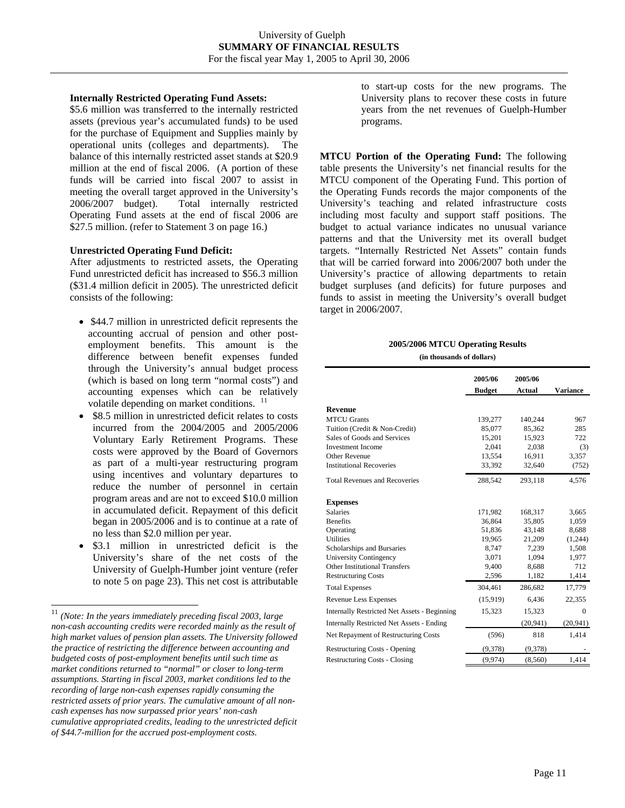#### **Internally Restricted Operating Fund Assets:**

\$5.6 million was transferred to the internally restricted assets (previous year's accumulated funds) to be used for the purchase of Equipment and Supplies mainly by operational units (colleges and departments). The balance of this internally restricted asset stands at \$20.9 million at the end of fiscal 2006. (A portion of these funds will be carried into fiscal 2007 to assist in meeting the overall target approved in the University's 2006/2007 budget). Total internally restricted Operating Fund assets at the end of fiscal 2006 are \$27.5 million. (refer to Statement 3 on page 16.)

#### **Unrestricted Operating Fund Deficit:**

After adjustments to restricted assets, the Operating Fund unrestricted deficit has increased to \$56.3 million (\$31.4 million deficit in 2005). The unrestricted deficit consists of the following:

- \$44.7 million in unrestricted deficit represents the accounting accrual of pension and other postemployment benefits. This amount is the difference between benefit expenses funded through the University's annual budget process (which is based on long term "normal costs") and accounting expenses which can be relatively volatile depending on market conditions. <sup>[11](#page-11-0)</sup>
- \$8.5 million in unrestricted deficit relates to costs incurred from the 2004/2005 and 2005/2006 Voluntary Early Retirement Programs. These costs were approved by the Board of Governors as part of a multi-year restructuring program using incentives and voluntary departures to reduce the number of personnel in certain program areas and are not to exceed \$10.0 million in accumulated deficit. Repayment of this deficit began in 2005/2006 and is to continue at a rate of no less than \$2.0 million per year.
- \$3.1 million in unrestricted deficit is the University's share of the net costs of the University of Guelph-Humber joint venture (refer to note 5 on page 23). This net cost is attributable

l

to start-up costs for the new programs. The University plans to recover these costs in future years from the net revenues of Guelph-Humber programs.

**MTCU Portion of the Operating Fund:** The following table presents the University's net financial results for the MTCU component of the Operating Fund. This portion of the Operating Funds records the major components of the University's teaching and related infrastructure costs including most faculty and support staff positions. The budget to actual variance indicates no unusual variance patterns and that the University met its overall budget targets. "Internally Restricted Net Assets" contain funds that will be carried forward into 2006/2007 both under the University's practice of allowing departments to retain budget surpluses (and deficits) for future purposes and funds to assist in meeting the University's overall budget target in 2006/2007.

#### **2005/2006 MTCU Operating Results**

|                                                     | 2005/06       | 2005/06       |                 |
|-----------------------------------------------------|---------------|---------------|-----------------|
|                                                     | <b>Budget</b> | <b>Actual</b> | <b>Variance</b> |
| <b>Revenue</b>                                      |               |               |                 |
| <b>MTCU</b> Grants                                  | 139,277       | 140,244       | 967             |
| Tuition (Credit & Non-Credit)                       | 85,077        | 85,362        | 285             |
| Sales of Goods and Services                         | 15,201        | 15,923        | 722             |
| <b>Investment Income</b>                            | 2.041         | 2,038         | (3)             |
| Other Revenue                                       | 13.554        | 16,911        | 3,357           |
| <b>Institutional Recoveries</b>                     | 33,392        | 32,640        | (752)           |
| <b>Total Revenues and Recoveries</b>                | 288,542       | 293,118       | 4,576           |
| <b>Expenses</b>                                     |               |               |                 |
| <b>Salaries</b>                                     | 171,982       | 168,317       | 3,665           |
| <b>Benefits</b>                                     | 36,864        | 35,805        | 1,059           |
| Operating                                           | 51,836        | 43,148        | 8,688           |
| <b>Utilities</b>                                    | 19,965        | 21,209        | (1,244)         |
| Scholarships and Bursaries                          | 8,747         | 7,239         | 1,508           |
| University Contingency                              | 3,071         | 1,094         | 1,977           |
| Other Institutional Transfers                       | 9.400         | 8.688         | 712             |
| <b>Restructuring Costs</b>                          | 2,596         | 1,182         | 1,414           |
| <b>Total Expenses</b>                               | 304,461       | 286,682       | 17,779          |
| <b>Revenue Less Expenses</b>                        | (15,919)      | 6,436         | 22,355          |
| <b>Internally Restricted Net Assets - Beginning</b> | 15,323        | 15,323        | $\Omega$        |
| <b>Internally Restricted Net Assets - Ending</b>    |               | (20, 941)     | (20, 941)       |
| Net Repayment of Restructuring Costs                | (596)         | 818           | 1,414           |
| <b>Restructuring Costs - Opening</b>                | (9,378)       | (9,378)       |                 |
| <b>Restructuring Costs - Closing</b>                | (9, 974)      | (8,560)       | 1,414           |

<span id="page-11-0"></span><sup>11</sup> *(Note: In the years immediately preceding fiscal 2003, large non-cash accounting credits were recorded mainly as the result of high market values of pension plan assets. The University followed the practice of restricting the difference between accounting and budgeted costs of post-employment benefits until such time as market conditions returned to "normal" or closer to long-term assumptions. Starting in fiscal 2003, market conditions led to the recording of large non-cash expenses rapidly consuming the restricted assets of prior years. The cumulative amount of all noncash expenses has now surpassed prior years' non-cash cumulative appropriated credits, leading to the unrestricted deficit of \$44.7-million for the accrued post-employment costs.*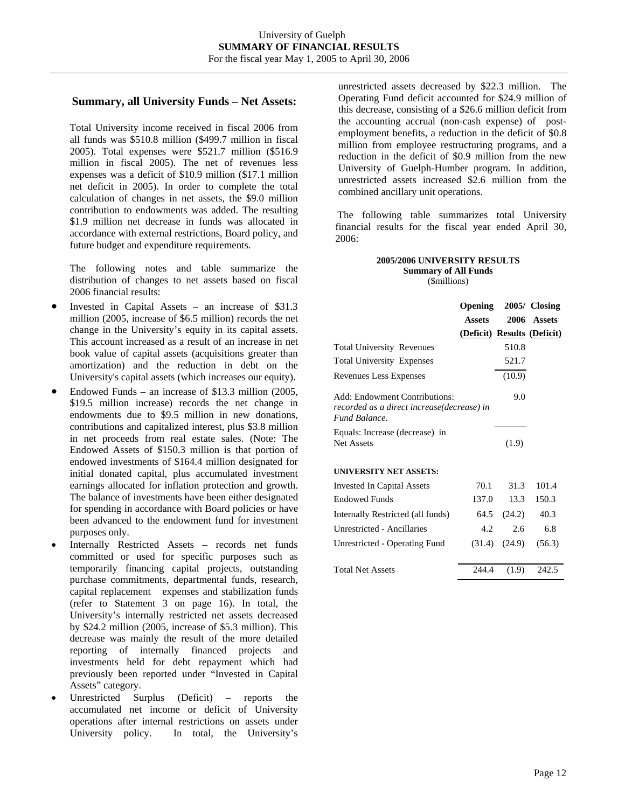### **Summary, all University Funds – Net Assets:**

Total University income received in fiscal 2006 from all funds was \$510.8 million (\$499.7 million in fiscal 2005). Total expenses were \$521.7 million (\$516.9 million in fiscal 2005). The net of revenues less expenses was a deficit of \$10.9 million (\$17.1 million net deficit in 2005). In order to complete the total calculation of changes in net assets, the \$9.0 million contribution to endowments was added. The resulting \$1.9 million net decrease in funds was allocated in accordance with external restrictions, Board policy, and future budget and expenditure requirements.

The following notes and table summarize the distribution of changes to net assets based on fiscal 2006 financial results:

- Invested in Capital Assets an increase of \$31.3 million (2005, increase of \$6.5 million) records the net change in the University's equity in its capital assets. This account increased as a result of an increase in net book value of capital assets (acquisitions greater than amortization) and the reduction in debt on the University's capital assets (which increases our equity).
- Endowed Funds an increase of \$13.3 million  $(2005,$ \$19.5 million increase) records the net change in endowments due to \$9.5 million in new donations, contributions and capitalized interest, plus \$3.8 million in net proceeds from real estate sales. (Note: The Endowed Assets of \$150.3 million is that portion of endowed investments of \$164.4 million designated for initial donated capital, plus accumulated investment earnings allocated for inflation protection and growth. The balance of investments have been either designated for spending in accordance with Board policies or have been advanced to the endowment fund for investment purposes only.
- Internally Restricted Assets records net funds committed or used for specific purposes such as temporarily financing capital projects, outstanding purchase commitments, departmental funds, research, capital replacement expenses and stabilization funds (refer to Statement 3 on page 16). In total, the University's internally restricted net assets decreased by \$24.2 million (2005, increase of \$5.3 million). This decrease was mainly the result of the more detailed reporting of internally financed projects and investments held for debt repayment which had previously been reported under "Invested in Capital Assets" category.
- Unrestricted Surplus (Deficit) reports the accumulated net income or deficit of University operations after internal restrictions on assets under University policy. In total, the University's

unrestricted assets decreased by \$22.3 million. The Operating Fund deficit accounted for \$24.9 million of this decrease, consisting of a \$26.6 million deficit from the accounting accrual (non-cash expense) of postemployment benefits, a reduction in the deficit of \$0.8 million from employee restructuring programs, and a reduction in the deficit of \$0.9 million from the new University of Guelph-Humber program. In addition, unrestricted assets increased \$2.6 million from the combined ancillary unit operations.

The following table summarizes total University financial results for the fiscal year ended April 30, 2006:

#### **2005/2006 UNIVERSITY RESULTS Summary of All Funds**  (\$millions)

**Opening 2005/ Closing Assets 2006 Assets (Deficit) Results (Deficit)** Total University Revenues 510.8 Total University Expenses 521.7 Revenues Less Expenses (10.9) Add: Endowment Contributions: *recorded as a direct increase(decrease) in Fund Balance*. 9.0 Equals: Increase (decrease) in Net Assets (1.9) **UNIVERSITY NET ASSETS:** Invested In Capital Assets 70.1 31.3 101.4 Endowed Funds 137.0 13.3 150.3 Internally Restricted (all funds) 64.5 (24.2) 40.3 Unrestricted - Ancillaries 4.2 2.6 6.8 Unrestricted - Operating Fund (31.4) (24.9) (56.3) Total Net Assets 244.4 (1.9) 242.5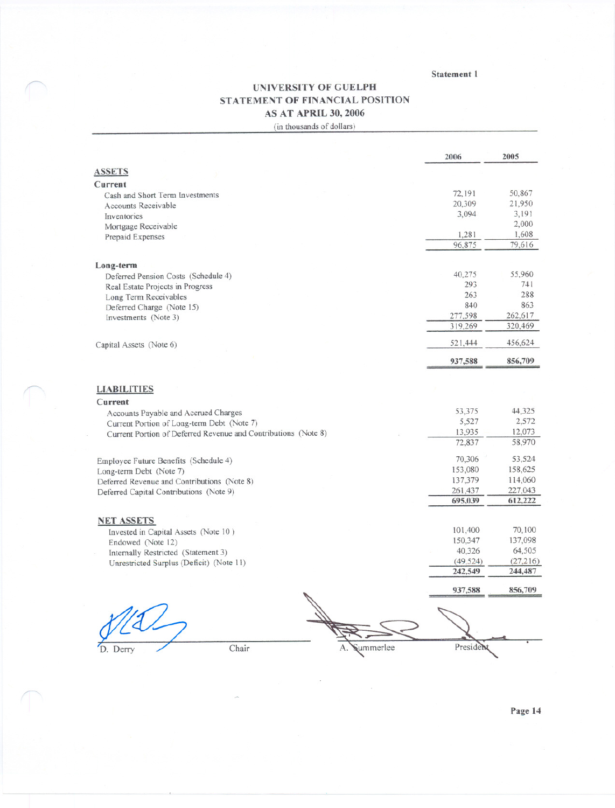Statement 1

# UNIVERSITY OF GUELPH STATEMENT OF FINANCIAL POSITION AS AT APRIL 30, 2006 (in thousands of dollars)

|                                                                | 2006      | 2005     |
|----------------------------------------------------------------|-----------|----------|
| <b>ASSETS</b>                                                  |           |          |
| Current                                                        |           |          |
| Cash and Short Term Investments                                | 72,191    | 50,867   |
| <b>Accounts Receivable</b>                                     | 20,309    | 21,950   |
| Inventories                                                    | 3,094     | 3,191    |
| Mortgage Receivable                                            |           | 2,000    |
| Prepaid Expenses                                               | 1,281     | 1,608    |
|                                                                | 96,875    | 79,616   |
| Long-term                                                      |           |          |
| Deferred Pension Costs (Schedule 4)                            | 40,275    | 55,960   |
| Real Estate Projects in Progress                               | 293       | 741      |
| Long Term Receivables                                          | 263       | 288      |
| Deferred Charge (Note 15)                                      | 840       | 863      |
| Investments (Note 3)                                           | 277,598   | 262,617  |
|                                                                | 319,269   | 320,469  |
| Capital Assets (Note 6)                                        | 521,444   | 456,624  |
|                                                                | 937,588   | 856,709  |
| <b>LIABILITIES</b>                                             |           |          |
| Current                                                        |           |          |
| Accounts Payable and Accrued Charges                           | 53,375    | 44,325   |
| Current Portion of Long-term Debt (Note 7)                     | 5,527     | 2,572    |
| Current Portion of Deferred Revenue and Contributions (Note 8) | 13,935    | 12,073   |
|                                                                | 72,837    | 58,970   |
| Employee Future Benefits (Schedule 4)                          | 70,306    | 53,524   |
| Long-term Debt (Note 7)                                        | 153,080   | 158,625  |
| Deferred Revenue and Contributions (Note 8)                    | 137,379   | 114,060  |
| Deferred Capital Contributions (Note 9)                        | 261,437   | 227,043  |
|                                                                | 695,039   | 612,222  |
| <b>NET ASSETS</b>                                              |           |          |
| Invested in Capital Assets (Note 10)                           | 101,400   | 70,100   |
| Endowed (Note 12)                                              | 150,347   | 137,098  |
| Internally Restricted (Statement 3)                            | 40,326    | 64,505   |
| Unrestricted Surplus (Deficit) (Note 11)                       | (49, 524) | (27,216) |
|                                                                | 242,549   | 244,487  |
|                                                                | 937,588   | 856,709  |
|                                                                |           |          |
|                                                                |           |          |

D. Derry

Chair

A. Summerlee President

Page 14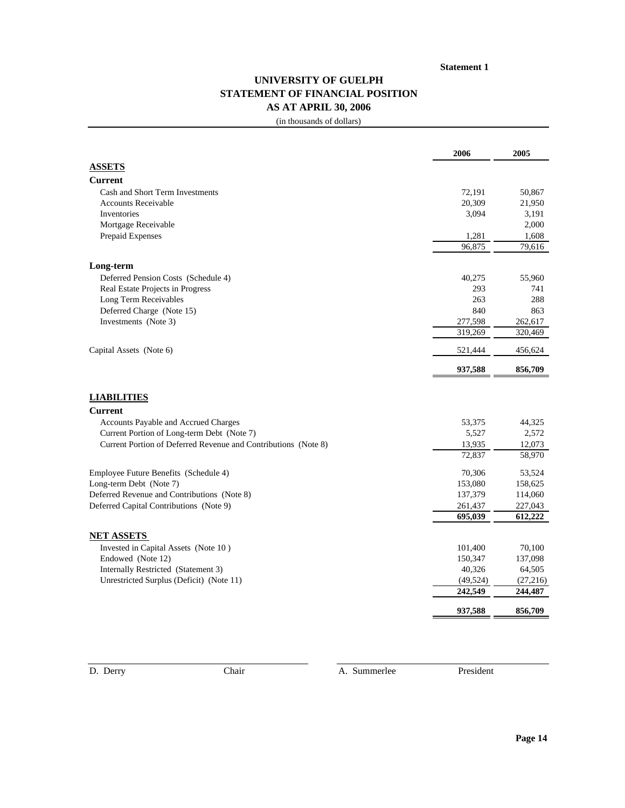#### **Statement 1**

# **UNIVERSITY OF GUELPH STATEMENT OF FINANCIAL POSITION AS AT APRIL 30, 2006**

(in thousands of dollars)

|                                                                | 2006      | 2005      |
|----------------------------------------------------------------|-----------|-----------|
| <b>ASSETS</b>                                                  |           |           |
| <b>Current</b>                                                 |           |           |
| Cash and Short Term Investments                                | 72,191    | 50,867    |
| <b>Accounts Receivable</b>                                     | 20,309    | 21,950    |
| Inventories                                                    | 3,094     | 3,191     |
| Mortgage Receivable                                            |           | 2,000     |
| Prepaid Expenses                                               | 1,281     | 1,608     |
|                                                                | 96,875    | 79,616    |
| Long-term                                                      |           |           |
| Deferred Pension Costs (Schedule 4)                            | 40,275    | 55,960    |
| Real Estate Projects in Progress                               | 293       | 741       |
| Long Term Receivables                                          | 263       | 288       |
| Deferred Charge (Note 15)                                      | 840       | 863       |
| Investments (Note 3)                                           | 277,598   | 262,617   |
|                                                                | 319,269   | 320,469   |
| Capital Assets (Note 6)                                        | 521,444   | 456,624   |
|                                                                | 937,588   | 856,709   |
| <b>LIABILITIES</b>                                             |           |           |
| <b>Current</b>                                                 |           |           |
| Accounts Payable and Accrued Charges                           | 53,375    | 44,325    |
| Current Portion of Long-term Debt (Note 7)                     | 5,527     | 2,572     |
| Current Portion of Deferred Revenue and Contributions (Note 8) | 13,935    | 12,073    |
|                                                                | 72,837    | 58,970    |
| Employee Future Benefits (Schedule 4)                          | 70,306    | 53,524    |
| Long-term Debt (Note 7)                                        | 153,080   | 158,625   |
| Deferred Revenue and Contributions (Note 8)                    | 137,379   | 114,060   |
| Deferred Capital Contributions (Note 9)                        | 261,437   | 227,043   |
|                                                                | 695,039   | 612,222   |
| <b>NET ASSETS</b>                                              |           |           |
| Invested in Capital Assets (Note 10)                           | 101,400   | 70,100    |
| Endowed (Note 12)                                              | 150,347   | 137,098   |
| Internally Restricted (Statement 3)                            | 40,326    | 64,505    |
| Unrestricted Surplus (Deficit) (Note 11)                       | (49, 524) | (27, 216) |
|                                                                | 242,549   | 244,487   |
|                                                                | 937,588   | 856,709   |

D. Derry Chair Chair A. Summerlee President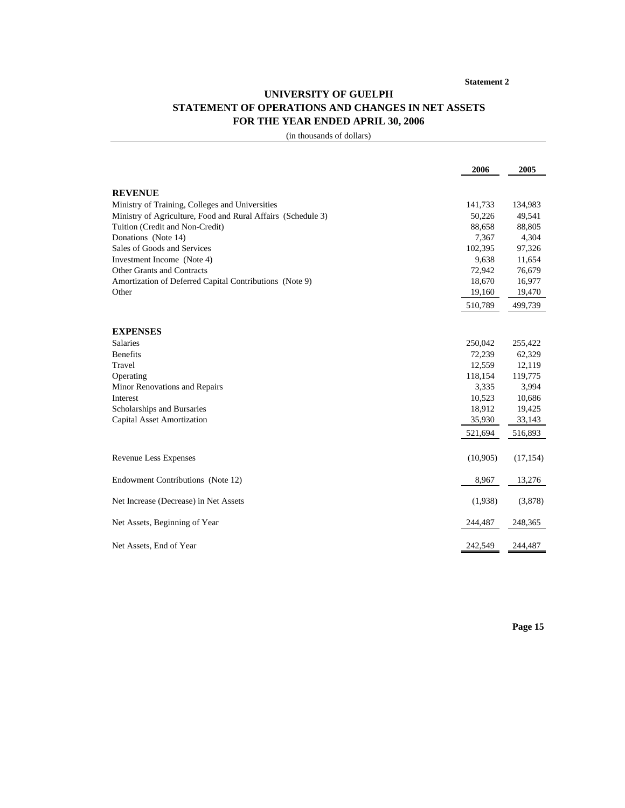# **UNIVERSITY OF GUELPH STATEMENT OF OPERATIONS AND CHANGES IN NET ASSETS FOR THE YEAR ENDED APRIL 30, 2006**

|                                                              | 2006     | 2005      |
|--------------------------------------------------------------|----------|-----------|
|                                                              |          |           |
| <b>REVENUE</b>                                               |          |           |
| Ministry of Training, Colleges and Universities              | 141,733  | 134,983   |
| Ministry of Agriculture, Food and Rural Affairs (Schedule 3) | 50,226   | 49,541    |
| Tuition (Credit and Non-Credit)                              | 88,658   | 88,805    |
| Donations (Note 14)                                          | 7,367    | 4,304     |
| Sales of Goods and Services                                  | 102,395  | 97,326    |
| Investment Income (Note 4)                                   | 9,638    | 11,654    |
| Other Grants and Contracts                                   | 72,942   | 76,679    |
| Amortization of Deferred Capital Contributions (Note 9)      | 18,670   | 16,977    |
| Other                                                        | 19,160   | 19,470    |
|                                                              | 510,789  | 499,739   |
|                                                              |          |           |
| <b>EXPENSES</b>                                              |          |           |
| <b>Salaries</b>                                              | 250,042  | 255,422   |
| <b>Benefits</b>                                              | 72,239   | 62,329    |
| Travel                                                       | 12,559   | 12,119    |
| Operating                                                    | 118,154  | 119,775   |
| Minor Renovations and Repairs                                | 3,335    | 3,994     |
| Interest                                                     | 10,523   | 10,686    |
| Scholarships and Bursaries                                   | 18,912   | 19,425    |
| <b>Capital Asset Amortization</b>                            | 35,930   | 33,143    |
|                                                              | 521,694  | 516,893   |
|                                                              |          |           |
| Revenue Less Expenses                                        | (10,905) | (17, 154) |
| Endowment Contributions (Note 12)                            | 8,967    | 13,276    |
| Net Increase (Decrease) in Net Assets                        | (1,938)  | (3,878)   |
| Net Assets, Beginning of Year                                | 244,487  | 248,365   |
| Net Assets, End of Year                                      | 242.549  | 244,487   |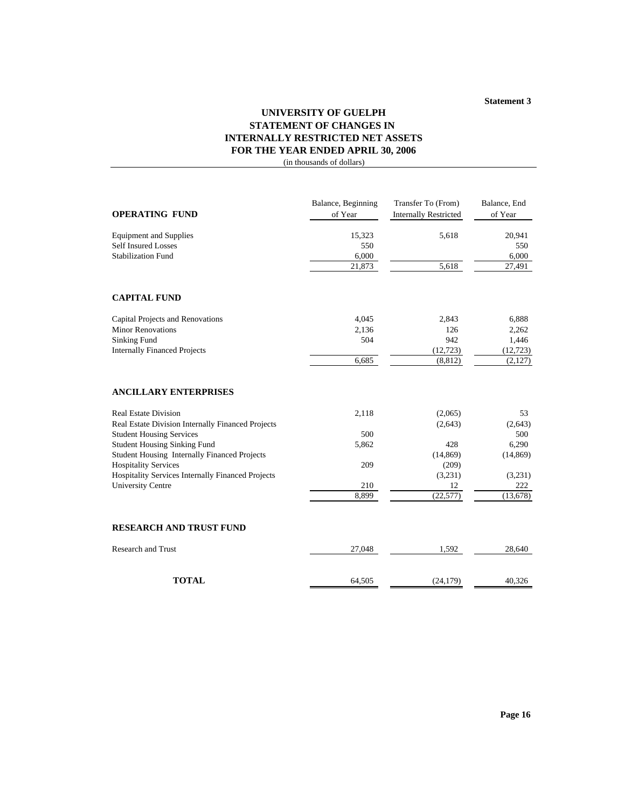**Statement 3**

# **UNIVERSITY OF GUELPH STATEMENT OF CHANGES IN INTERNALLY RESTRICTED NET ASSETS FOR THE YEAR ENDED APRIL 30, 2006**

| <b>OPERATING FUND</b>                               | Balance, Beginning<br>of Year | Transfer To (From)<br><b>Internally Restricted</b> | Balance, End<br>of Year |
|-----------------------------------------------------|-------------------------------|----------------------------------------------------|-------------------------|
| <b>Equipment and Supplies</b>                       | 15,323                        | 5,618                                              | 20,941                  |
| <b>Self Insured Losses</b>                          | 550                           |                                                    | 550                     |
| <b>Stabilization Fund</b>                           | 6,000                         |                                                    | 6,000                   |
|                                                     | 21,873                        | 5,618                                              | 27,491                  |
| <b>CAPITAL FUND</b>                                 |                               |                                                    |                         |
| Capital Projects and Renovations                    | 4,045                         | 2,843                                              | 6,888                   |
| <b>Minor Renovations</b>                            | 2,136                         | 126                                                | 2,262                   |
| <b>Sinking Fund</b>                                 | 504                           | 942                                                | 1,446                   |
| <b>Internally Financed Projects</b>                 |                               | (12, 723)                                          | (12, 723)               |
|                                                     | 6,685                         | (8, 812)                                           | (2,127)                 |
| <b>ANCILLARY ENTERPRISES</b>                        |                               |                                                    |                         |
| <b>Real Estate Division</b>                         | 2,118                         | (2,065)                                            | 53                      |
| Real Estate Division Internally Financed Projects   |                               | (2,643)                                            | (2,643)                 |
| <b>Student Housing Services</b>                     | 500                           |                                                    | 500                     |
| <b>Student Housing Sinking Fund</b>                 | 5,862                         | 428                                                | 6,290                   |
| <b>Student Housing Internally Financed Projects</b> |                               | (14, 869)                                          | (14, 869)               |
| <b>Hospitality Services</b>                         | 209                           | (209)                                              |                         |
| Hospitality Services Internally Financed Projects   |                               | (3,231)                                            | (3,231)                 |
| <b>University Centre</b>                            | 210                           | 12                                                 | 222                     |
|                                                     | 8,899                         | (22, 577)                                          | (13, 678)               |
| <b>RESEARCH AND TRUST FUND</b>                      |                               |                                                    |                         |
| <b>Research and Trust</b>                           | 27,048                        | 1,592                                              | 28,640                  |
| <b>TOTAL</b>                                        | 64,505                        | (24, 179)                                          | 40,326                  |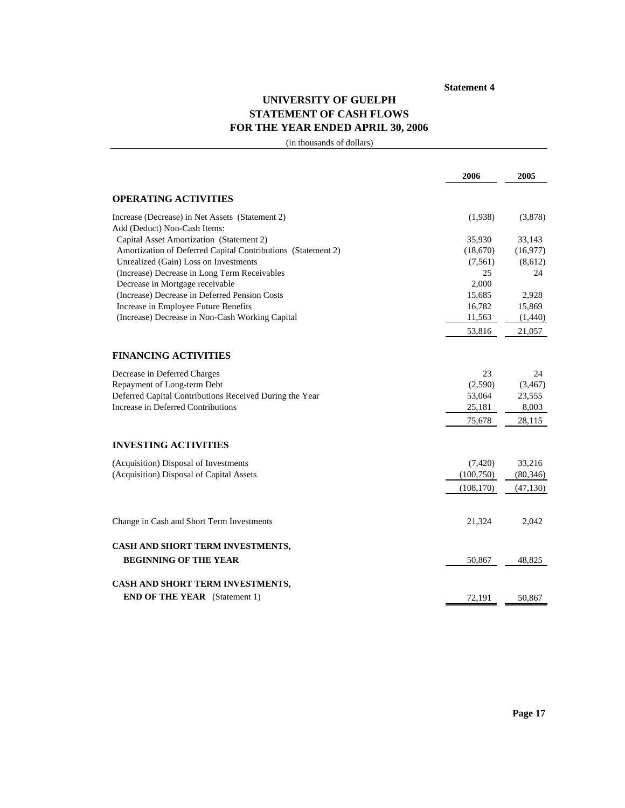### **Statement 4**

# **UNIVERSITY OF GUELPH STATEMENT OF CASH FLOWS FOR THE YEAR ENDED APRIL 30, 2006**

|                                                                                 | 2006       | 2005      |
|---------------------------------------------------------------------------------|------------|-----------|
| <b>OPERATING ACTIVITIES</b>                                                     |            |           |
| Increase (Decrease) in Net Assets (Statement 2)<br>Add (Deduct) Non-Cash Items: | (1,938)    | (3,878)   |
| Capital Asset Amortization (Statement 2)                                        | 35,930     | 33,143    |
| Amortization of Deferred Capital Contributions (Statement 2)                    | (18,670)   | (16,977)  |
| Unrealized (Gain) Loss on Investments                                           | (7,561)    | (8,612)   |
| (Increase) Decrease in Long Term Receivables                                    | 25         | 24        |
| Decrease in Mortgage receivable                                                 | 2,000      |           |
| (Increase) Decrease in Deferred Pension Costs                                   | 15,685     | 2,928     |
| Increase in Employee Future Benefits                                            | 16,782     | 15,869    |
| (Increase) Decrease in Non-Cash Working Capital                                 | 11,563     | (1,440)   |
|                                                                                 | 53,816     | 21,057    |
| <b>FINANCING ACTIVITIES</b>                                                     |            |           |
| Decrease in Deferred Charges                                                    | 23         | 24        |
| Repayment of Long-term Debt                                                     | (2,590)    | (3, 467)  |
| Deferred Capital Contributions Received During the Year                         | 53,064     | 23,555    |
| Increase in Deferred Contributions                                              | 25,181     | 8,003     |
|                                                                                 | 75,678     | 28,115    |
| <b>INVESTING ACTIVITIES</b>                                                     |            |           |
| (Acquisition) Disposal of Investments                                           | (7,420)    | 33,216    |
| (Acquisition) Disposal of Capital Assets                                        | (100,750)  | (80, 346) |
|                                                                                 | (108, 170) | (47, 130) |
|                                                                                 |            |           |
| Change in Cash and Short Term Investments                                       | 21,324     | 2,042     |
| CASH AND SHORT TERM INVESTMENTS,                                                |            |           |
| <b>BEGINNING OF THE YEAR</b>                                                    | 50,867     | 48,825    |
| CASH AND SHORT TERM INVESTMENTS,                                                |            |           |
| <b>END OF THE YEAR</b> (Statement 1)                                            | 72,191     | 50,867    |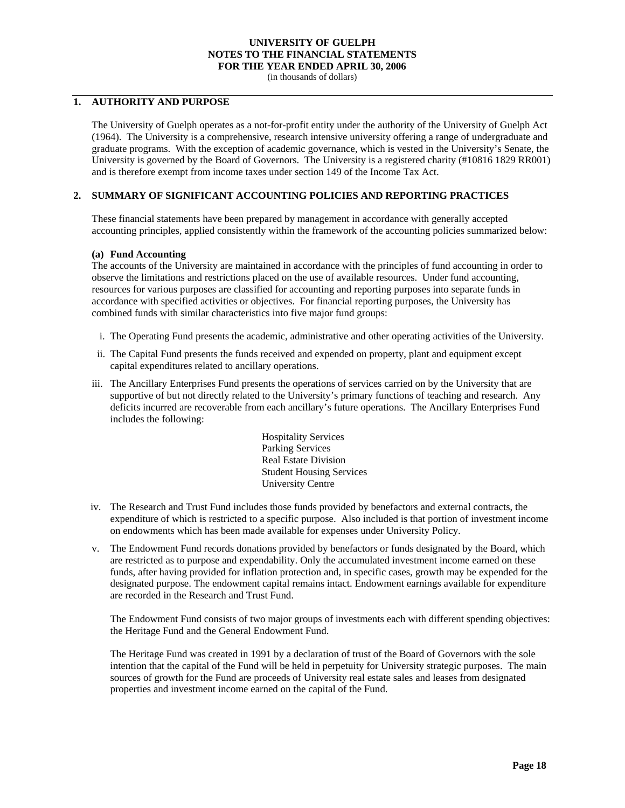(in thousands of dollars)

### **1. AUTHORITY AND PURPOSE**

The University of Guelph operates as a not-for-profit entity under the authority of the University of Guelph Act (1964). The University is a comprehensive, research intensive university offering a range of undergraduate and graduate programs. With the exception of academic governance, which is vested in the University's Senate, the University is governed by the Board of Governors. The University is a registered charity (#10816 1829 RR001) and is therefore exempt from income taxes under section 149 of the Income Tax Act.

### **2. SUMMARY OF SIGNIFICANT ACCOUNTING POLICIES AND REPORTING PRACTICES**

These financial statements have been prepared by management in accordance with generally accepted accounting principles, applied consistently within the framework of the accounting policies summarized below:

### **(a) Fund Accounting**

The accounts of the University are maintained in accordance with the principles of fund accounting in order to observe the limitations and restrictions placed on the use of available resources. Under fund accounting, resources for various purposes are classified for accounting and reporting purposes into separate funds in accordance with specified activities or objectives. For financial reporting purposes, the University has combined funds with similar characteristics into five major fund groups:

- i. The Operating Fund presents the academic, administrative and other operating activities of the University.
- ii. The Capital Fund presents the funds received and expended on property, plant and equipment except capital expenditures related to ancillary operations.
- iii. The Ancillary Enterprises Fund presents the operations of services carried on by the University that are supportive of but not directly related to the University's primary functions of teaching and research. Any deficits incurred are recoverable from each ancillary's future operations. The Ancillary Enterprises Fund includes the following:

Hospitality Services Parking Services Real Estate Division Student Housing Services University Centre

- iv. The Research and Trust Fund includes those funds provided by benefactors and external contracts, the expenditure of which is restricted to a specific purpose. Also included is that portion of investment income on endowments which has been made available for expenses under University Policy.
- v. The Endowment Fund records donations provided by benefactors or funds designated by the Board, which are restricted as to purpose and expendability. Only the accumulated investment income earned on these funds, after having provided for inflation protection and, in specific cases, growth may be expended for the designated purpose. The endowment capital remains intact. Endowment earnings available for expenditure are recorded in the Research and Trust Fund.

The Endowment Fund consists of two major groups of investments each with different spending objectives: the Heritage Fund and the General Endowment Fund.

The Heritage Fund was created in 1991 by a declaration of trust of the Board of Governors with the sole intention that the capital of the Fund will be held in perpetuity for University strategic purposes. The main sources of growth for the Fund are proceeds of University real estate sales and leases from designated properties and investment income earned on the capital of the Fund.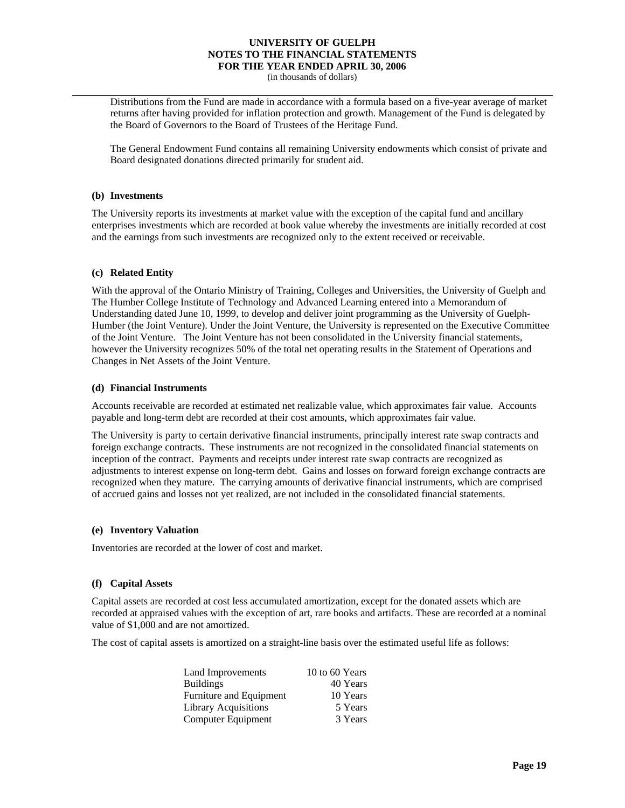(in thousands of dollars)

Distributions from the Fund are made in accordance with a formula based on a five-year average of market returns after having provided for inflation protection and growth. Management of the Fund is delegated by the Board of Governors to the Board of Trustees of the Heritage Fund.

The General Endowment Fund contains all remaining University endowments which consist of private and Board designated donations directed primarily for student aid.

#### **(b) Investments**

The University reports its investments at market value with the exception of the capital fund and ancillary enterprises investments which are recorded at book value whereby the investments are initially recorded at cost and the earnings from such investments are recognized only to the extent received or receivable.

### **(c) Related Entity**

With the approval of the Ontario Ministry of Training, Colleges and Universities, the University of Guelph and The Humber College Institute of Technology and Advanced Learning entered into a Memorandum of Understanding dated June 10, 1999, to develop and deliver joint programming as the University of Guelph-Humber (the Joint Venture). Under the Joint Venture, the University is represented on the Executive Committee of the Joint Venture. The Joint Venture has not been consolidated in the University financial statements, however the University recognizes 50% of the total net operating results in the Statement of Operations and Changes in Net Assets of the Joint Venture.

#### **(d) Financial Instruments**

Accounts receivable are recorded at estimated net realizable value, which approximates fair value. Accounts payable and long-term debt are recorded at their cost amounts, which approximates fair value.

The University is party to certain derivative financial instruments, principally interest rate swap contracts and foreign exchange contracts. These instruments are not recognized in the consolidated financial statements on inception of the contract. Payments and receipts under interest rate swap contracts are recognized as adjustments to interest expense on long-term debt. Gains and losses on forward foreign exchange contracts are recognized when they mature. The carrying amounts of derivative financial instruments, which are comprised of accrued gains and losses not yet realized, are not included in the consolidated financial statements.

#### **(e) Inventory Valuation**

Inventories are recorded at the lower of cost and market.

#### **(f) Capital Assets**

Capital assets are recorded at cost less accumulated amortization, except for the donated assets which are recorded at appraised values with the exception of art, rare books and artifacts. These are recorded at a nominal value of \$1,000 and are not amortized.

The cost of capital assets is amortized on a straight-line basis over the estimated useful life as follows:

| Land Improvements         | 10 to 60 Years |
|---------------------------|----------------|
| <b>Buildings</b>          | 40 Years       |
| Furniture and Equipment   | 10 Years       |
| Library Acquisitions      | 5 Years        |
| <b>Computer Equipment</b> | 3 Years        |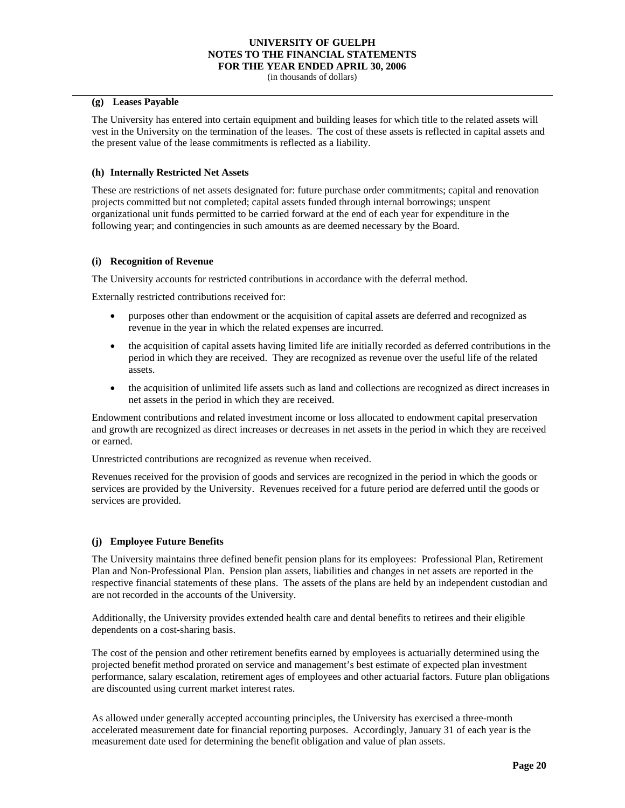(in thousands of dollars)

#### **(g) Leases Payable**

The University has entered into certain equipment and building leases for which title to the related assets will vest in the University on the termination of the leases. The cost of these assets is reflected in capital assets and the present value of the lease commitments is reflected as a liability.

#### **(h) Internally Restricted Net Assets**

These are restrictions of net assets designated for: future purchase order commitments; capital and renovation projects committed but not completed; capital assets funded through internal borrowings; unspent organizational unit funds permitted to be carried forward at the end of each year for expenditure in the following year; and contingencies in such amounts as are deemed necessary by the Board.

### **(i) Recognition of Revenue**

The University accounts for restricted contributions in accordance with the deferral method.

Externally restricted contributions received for:

- purposes other than endowment or the acquisition of capital assets are deferred and recognized as revenue in the year in which the related expenses are incurred.
- the acquisition of capital assets having limited life are initially recorded as deferred contributions in the period in which they are received. They are recognized as revenue over the useful life of the related assets.
- the acquisition of unlimited life assets such as land and collections are recognized as direct increases in net assets in the period in which they are received.

Endowment contributions and related investment income or loss allocated to endowment capital preservation and growth are recognized as direct increases or decreases in net assets in the period in which they are received or earned.

Unrestricted contributions are recognized as revenue when received.

Revenues received for the provision of goods and services are recognized in the period in which the goods or services are provided by the University. Revenues received for a future period are deferred until the goods or services are provided.

### **(j) Employee Future Benefits**

The University maintains three defined benefit pension plans for its employees: Professional Plan, Retirement Plan and Non-Professional Plan. Pension plan assets, liabilities and changes in net assets are reported in the respective financial statements of these plans. The assets of the plans are held by an independent custodian and are not recorded in the accounts of the University.

Additionally, the University provides extended health care and dental benefits to retirees and their eligible dependents on a cost-sharing basis.

The cost of the pension and other retirement benefits earned by employees is actuarially determined using the projected benefit method prorated on service and management's best estimate of expected plan investment performance, salary escalation, retirement ages of employees and other actuarial factors. Future plan obligations are discounted using current market interest rates.

As allowed under generally accepted accounting principles, the University has exercised a three-month accelerated measurement date for financial reporting purposes. Accordingly, January 31 of each year is the measurement date used for determining the benefit obligation and value of plan assets.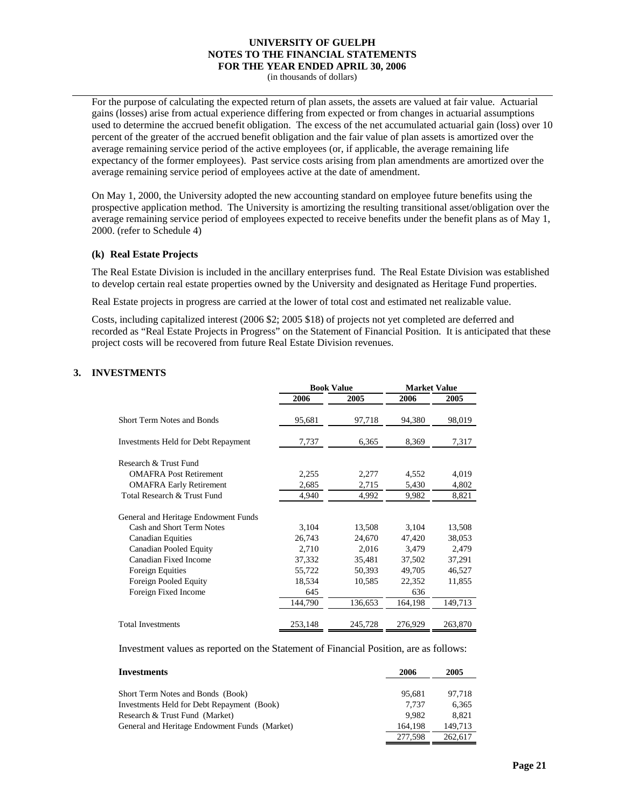(in thousands of dollars)

For the purpose of calculating the expected return of plan assets, the assets are valued at fair value. Actuarial gains (losses) arise from actual experience differing from expected or from changes in actuarial assumptions used to determine the accrued benefit obligation. The excess of the net accumulated actuarial gain (loss) over 10 percent of the greater of the accrued benefit obligation and the fair value of plan assets is amortized over the average remaining service period of the active employees (or, if applicable, the average remaining life expectancy of the former employees). Past service costs arising from plan amendments are amortized over the average remaining service period of employees active at the date of amendment.

On May 1, 2000, the University adopted the new accounting standard on employee future benefits using the prospective application method. The University is amortizing the resulting transitional asset/obligation over the average remaining service period of employees expected to receive benefits under the benefit plans as of May 1, 2000. (refer to Schedule 4)

### **(k) Real Estate Projects**

The Real Estate Division is included in the ancillary enterprises fund. The Real Estate Division was established to develop certain real estate properties owned by the University and designated as Heritage Fund properties.

Real Estate projects in progress are carried at the lower of total cost and estimated net realizable value.

Costs, including capitalized interest (2006 \$2; 2005 \$18) of projects not yet completed are deferred and recorded as "Real Estate Projects in Progress" on the Statement of Financial Position. It is anticipated that these project costs will be recovered from future Real Estate Division revenues.

### **3. INVESTMENTS**

|                                      |         | <b>Book Value</b> |         | <b>Market Value</b> |  |
|--------------------------------------|---------|-------------------|---------|---------------------|--|
|                                      | 2006    | 2005              | 2006    | 2005                |  |
| <b>Short Term Notes and Bonds</b>    | 95,681  | 97,718            | 94,380  | 98,019              |  |
| Investments Held for Debt Repayment  | 7,737   | 6,365             | 8,369   | 7,317               |  |
| Research & Trust Fund                |         |                   |         |                     |  |
| <b>OMAFRA Post Retirement</b>        | 2,255   | 2,277             | 4,552   | 4,019               |  |
| <b>OMAFRA Early Retirement</b>       | 2,685   | 2,715             | 5,430   | 4,802               |  |
| Total Research & Trust Fund          | 4,940   | 4,992             | 9,982   | 8,821               |  |
| General and Heritage Endowment Funds |         |                   |         |                     |  |
| Cash and Short Term Notes            | 3,104   | 13,508            | 3,104   | 13,508              |  |
| <b>Canadian Equities</b>             | 26,743  | 24,670            | 47,420  | 38,053              |  |
| <b>Canadian Pooled Equity</b>        | 2,710   | 2,016             | 3,479   | 2,479               |  |
| Canadian Fixed Income                | 37,332  | 35,481            | 37,502  | 37,291              |  |
| Foreign Equities                     | 55,722  | 50,393            | 49,705  | 46,527              |  |
| Foreign Pooled Equity                | 18,534  | 10,585            | 22,352  | 11,855              |  |
| Foreign Fixed Income                 | 645     |                   | 636     |                     |  |
|                                      | 144,790 | 136,653           | 164,198 | 149,713             |  |
| <b>Total Investments</b>             | 253,148 | 245,728           | 276,929 | 263,870             |  |

Investment values as reported on the Statement of Financial Position, are as follows:

| Investments                                   | 2006    | 2005    |
|-----------------------------------------------|---------|---------|
| Short Term Notes and Bonds (Book)             | 95.681  | 97.718  |
| Investments Held for Debt Repayment (Book)    | 7.737   | 6,365   |
| Research & Trust Fund (Market)                | 9.982   | 8.821   |
| General and Heritage Endowment Funds (Market) | 164.198 | 149.713 |
|                                               | 277,598 | 262,617 |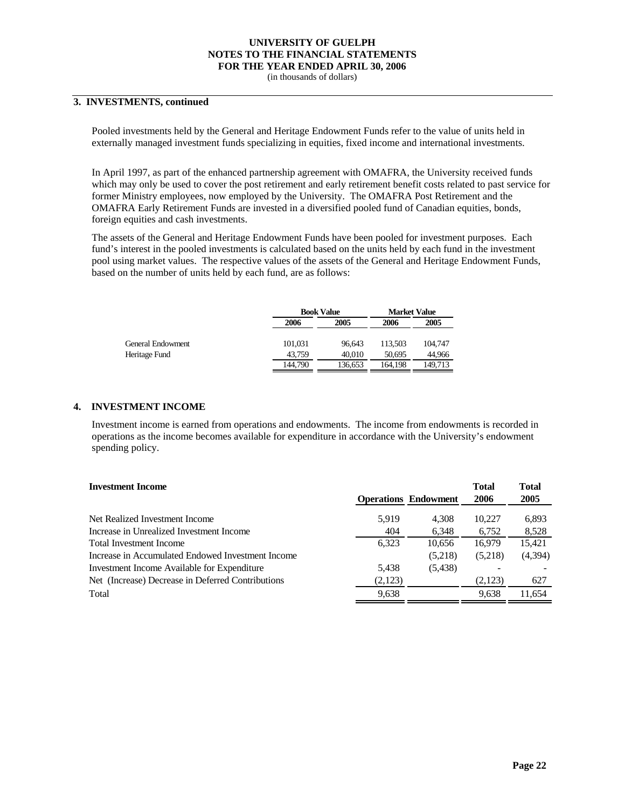(in thousands of dollars)

### **3. INVESTMENTS, continued**

Pooled investments held by the General and Heritage Endowment Funds refer to the value of units held in externally managed investment funds specializing in equities, fixed income and international investments.

In April 1997, as part of the enhanced partnership agreement with OMAFRA, the University received funds which may only be used to cover the post retirement and early retirement benefit costs related to past service for former Ministry employees, now employed by the University. The OMAFRA Post Retirement and the OMAFRA Early Retirement Funds are invested in a diversified pooled fund of Canadian equities, bonds, foreign equities and cash investments.

The assets of the General and Heritage Endowment Funds have been pooled for investment purposes. Each fund's interest in the pooled investments is calculated based on the units held by each fund in the investment pool using market values. The respective values of the assets of the General and Heritage Endowment Funds, based on the number of units held by each fund, are as follows:

|                   |         | <b>Book Value</b> |         | <b>Market Value</b> |
|-------------------|---------|-------------------|---------|---------------------|
|                   | 2006    | 2005              | 2006    | 2005                |
| General Endowment | 101.031 | 96.643            | 113.503 | 104,747             |
| Heritage Fund     | 43.759  | 40,010            | 50.695  | 44.966              |
|                   | 144.790 | 136.653           | 164.198 | 149.713             |

#### **4. INVESTMENT INCOME**

Investment income is earned from operations and endowments. The income from endowments is recorded in operations as the income becomes available for expenditure in accordance with the University's endowment spending policy.

| <b>Investment Income</b>                          |         |                             | <b>Total</b> | Total   |
|---------------------------------------------------|---------|-----------------------------|--------------|---------|
|                                                   |         | <b>Operations Endowment</b> | 2006         | 2005    |
| Net Realized Investment Income                    | 5,919   | 4.308                       | 10.227       | 6,893   |
| Increase in Unrealized Investment Income          | 404     | 6,348                       | 6,752        | 8,528   |
| Total Investment Income                           | 6.323   | 10.656                      | 16.979       | 15,421  |
| Increase in Accumulated Endowed Investment Income |         | (5,218)                     | (5,218)      | (4,394) |
| Investment Income Available for Expenditure       | 5,438   | (5, 438)                    |              |         |
| Net (Increase) Decrease in Deferred Contributions | (2,123) |                             | (2,123)      | 627     |
| Total                                             | 9,638   |                             | 9.638        | 11.654  |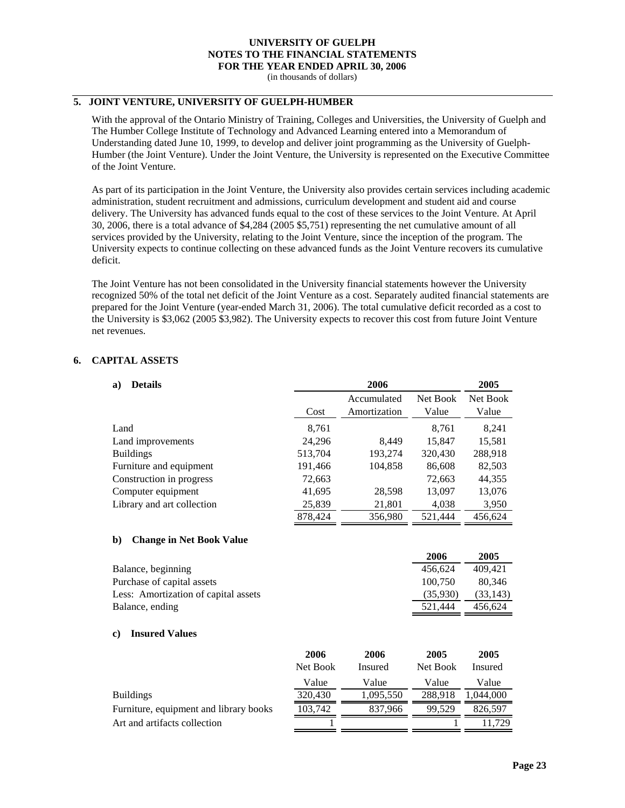(in thousands of dollars)

### **5. JOINT VENTURE, UNIVERSITY OF GUELPH-HUMBER**

With the approval of the Ontario Ministry of Training, Colleges and Universities, the University of Guelph and The Humber College Institute of Technology and Advanced Learning entered into a Memorandum of Understanding dated June 10, 1999, to develop and deliver joint programming as the University of Guelph-Humber (the Joint Venture). Under the Joint Venture, the University is represented on the Executive Committee of the Joint Venture.

As part of its participation in the Joint Venture, the University also provides certain services including academic administration, student recruitment and admissions, curriculum development and student aid and course delivery. The University has advanced funds equal to the cost of these services to the Joint Venture. At April 30, 2006, there is a total advance of \$4,284 (2005 \$5,751) representing the net cumulative amount of all services provided by the University, relating to the Joint Venture, since the inception of the program. The University expects to continue collecting on these advanced funds as the Joint Venture recovers its cumulative deficit.

The Joint Venture has not been consolidated in the University financial statements however the University recognized 50% of the total net deficit of the Joint Venture as a cost. Separately audited financial statements are prepared for the Joint Venture (year-ended March 31, 2006). The total cumulative deficit recorded as a cost to the University is \$3,062 (2005 \$3,982). The University expects to recover this cost from future Joint Venture net revenues.

### **6. CAPITAL ASSETS**

| <b>Details</b><br>a)       |         | 2006                        |                   | 2005              |
|----------------------------|---------|-----------------------------|-------------------|-------------------|
|                            | Cost    | Accumulated<br>Amortization | Net Book<br>Value | Net Book<br>Value |
| Land                       | 8,761   |                             | 8,761             | 8,241             |
| Land improvements          | 24,296  | 8,449                       | 15,847            | 15,581            |
| <b>Buildings</b>           | 513,704 | 193,274                     | 320,430           | 288,918           |
| Furniture and equipment    | 191,466 | 104,858                     | 86,608            | 82,503            |
| Construction in progress   | 72,663  |                             | 72,663            | 44,355            |
| Computer equipment         | 41,695  | 28,598                      | 13,097            | 13,076            |
| Library and art collection | 25,839  | 21,801                      | 4,038             | 3,950             |
|                            | 878.424 | 356,980                     | 521.444           | 456,624           |

#### **b) Change in Net Book Value**

|                                      | 2006     | 2005      |
|--------------------------------------|----------|-----------|
| Balance, beginning                   | 456.624  | 409.421   |
| Purchase of capital assets           | 100.750  | 80.346    |
| Less: Amortization of capital assets | (35,930) | (33, 143) |
| Balance, ending                      | 521.444  | 456.624   |

#### **c) Insured Values**

|                                        | 2006     | 2006      | 2005     | 2005      |
|----------------------------------------|----------|-----------|----------|-----------|
|                                        | Net Book | Insured   | Net Book | Insured   |
|                                        | Value    | Value     | Value    | Value     |
| <b>Buildings</b>                       | 320,430  | 1,095,550 | 288.918  | 1,044,000 |
| Furniture, equipment and library books | 103,742  | 837.966   | 99.529   | 826.597   |
| Art and artifacts collection           |          |           |          | . 729     |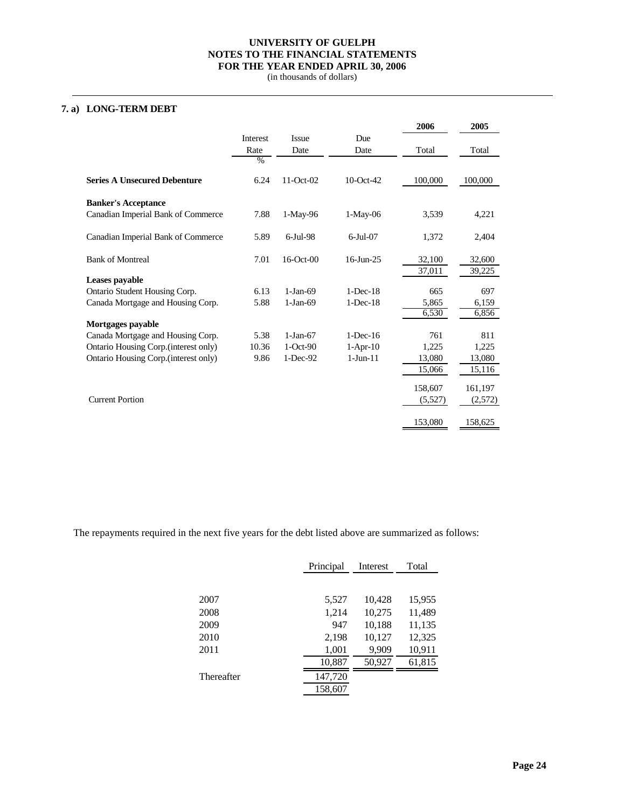(in thousands of dollars)

### **7. a) LONG-TERM DEBT**

|                                       |          |             |                | 2006    | 2005    |
|---------------------------------------|----------|-------------|----------------|---------|---------|
|                                       | Interest | Issue       | Due            |         |         |
|                                       | Rate     | Date        | Date           | Total   | Total   |
|                                       | $\%$     |             |                |         |         |
| <b>Series A Unsecured Debenture</b>   | 6.24     | 11-Oct-02   | 10-Oct-42      | 100,000 | 100,000 |
| <b>Banker's Acceptance</b>            |          |             |                |         |         |
| Canadian Imperial Bank of Commerce    | 7.88     | $1-May-96$  | $1-May-06$     | 3,539   | 4,221   |
| Canadian Imperial Bank of Commerce    | 5.89     | $6$ -Jul-98 | $6$ -Jul $-07$ | 1,372   | 2,404   |
| <b>Bank of Montreal</b>               | 7.01     | 16-Oct-00   | $16$ -Jun-25   | 32,100  | 32,600  |
| Leases payable                        |          |             |                | 37,011  | 39,225  |
| Ontario Student Housing Corp.         | 6.13     | $1-Jan-69$  | $1-Dec-18$     | 665     | 697     |
| Canada Mortgage and Housing Corp.     | 5.88     | $1-Jan-69$  | $1-Dec-18$     | 5,865   | 6,159   |
|                                       |          |             |                | 6,530   | 6,856   |
| Mortgages payable                     |          |             |                |         |         |
| Canada Mortgage and Housing Corp.     | 5.38     | $1-Jan-67$  | $1$ -Dec-16    | 761     | 811     |
| Ontario Housing Corp. (interest only) | 10.36    | $1-Oct-90$  | $1-Apr-10$     | 1,225   | 1,225   |
| Ontario Housing Corp.(interest only)  | 9.86     | $1-Dec-92$  | $1-Jun-11$     | 13,080  | 13,080  |
|                                       |          |             |                | 15,066  | 15,116  |
|                                       |          |             |                | 158,607 | 161,197 |
| <b>Current Portion</b>                |          |             |                | (5,527) | (2,572) |
|                                       |          |             |                |         |         |
|                                       |          |             |                | 153,080 | 158,625 |

The repayments required in the next five years for the debt listed above are summarized as follows:

|            | Principal | Interest | Total  |
|------------|-----------|----------|--------|
|            |           |          |        |
| 2007       | 5,527     | 10,428   | 15,955 |
| 2008       | 1,214     | 10,275   | 11,489 |
| 2009       | 947       | 10,188   | 11,135 |
| 2010       | 2,198     | 10,127   | 12,325 |
| 2011       | 1,001     | 9,909    | 10,911 |
|            | 10,887    | 50,927   | 61,815 |
| Thereafter | 147,720   |          |        |
|            | 158,607   |          |        |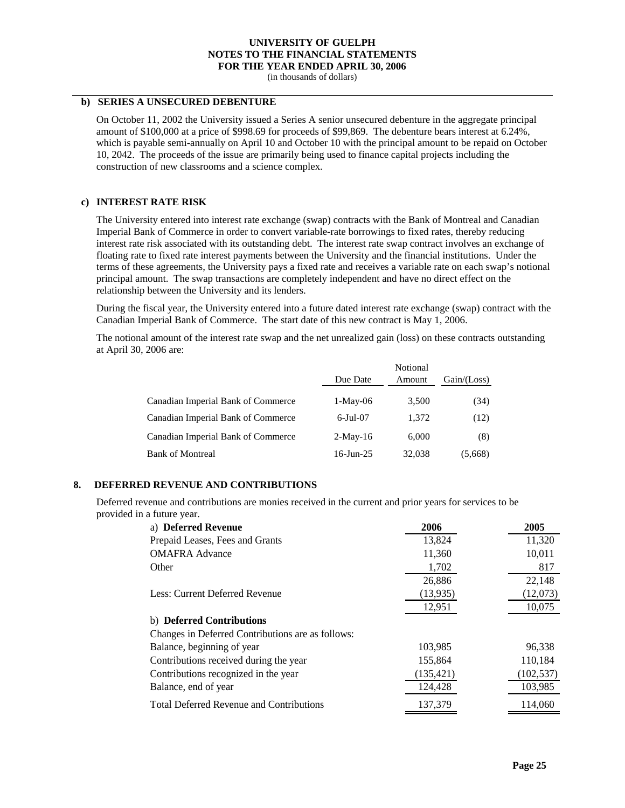(in thousands of dollars)

#### **b) SERIES A UNSECURED DEBENTURE**

On October 11, 2002 the University issued a Series A senior unsecured debenture in the aggregate principal amount of \$100,000 at a price of \$998.69 for proceeds of \$99,869. The debenture bears interest at 6.24%, which is payable semi-annually on April 10 and October 10 with the principal amount to be repaid on October 10, 2042. The proceeds of the issue are primarily being used to finance capital projects including the construction of new classrooms and a science complex.

#### **c) INTEREST RATE RISK**

The University entered into interest rate exchange (swap) contracts with the Bank of Montreal and Canadian Imperial Bank of Commerce in order to convert variable-rate borrowings to fixed rates, thereby reducing interest rate risk associated with its outstanding debt. The interest rate swap contract involves an exchange of floating rate to fixed rate interest payments between the University and the financial institutions. Under the terms of these agreements, the University pays a fixed rate and receives a variable rate on each swap's notional principal amount. The swap transactions are completely independent and have no direct effect on the relationship between the University and its lenders.

During the fiscal year, the University entered into a future dated interest rate exchange (swap) contract with the Canadian Imperial Bank of Commerce. The start date of this new contract is May 1, 2006.

The notional amount of the interest rate swap and the net unrealized gain (loss) on these contracts outstanding at April 30, 2006 are:

|                                    |                | Notional |               |
|------------------------------------|----------------|----------|---------------|
|                                    | Due Date       | Amount   | Gain / (Loss) |
| Canadian Imperial Bank of Commerce | $1-May-06$     | 3,500    | (34)          |
| Canadian Imperial Bank of Commerce | $6$ -Jul $-07$ | 1.372    | (12)          |
| Canadian Imperial Bank of Commerce | $2-May-16$     | 6.000    | (8)           |
| <b>Bank of Montreal</b>            | $16$ -Jun-25   | 32,038   | (5,668)       |

#### **8. DEFERRED REVENUE AND CONTRIBUTIONS**

Deferred revenue and contributions are monies received in the current and prior years for services to be provided in a future year.

| a) Deferred Revenue                               | 2006       | 2005       |
|---------------------------------------------------|------------|------------|
| Prepaid Leases, Fees and Grants                   | 13,824     | 11,320     |
| <b>OMAFRA Advance</b>                             | 11,360     | 10,011     |
| Other                                             | 1,702      | 817        |
|                                                   | 26,886     | 22.148     |
| Less: Current Deferred Revenue                    | (13, 935)  | (12,073)   |
|                                                   | 12,951     | 10,075     |
| b) Deferred Contributions                         |            |            |
| Changes in Deferred Contributions are as follows: |            |            |
| Balance, beginning of year                        | 103.985    | 96.338     |
| Contributions received during the year            | 155,864    | 110,184    |
| Contributions recognized in the year              | (135, 421) | (102, 537) |
| Balance, end of year                              | 124,428    | 103,985    |
| <b>Total Deferred Revenue and Contributions</b>   | 137,379    | 114,060    |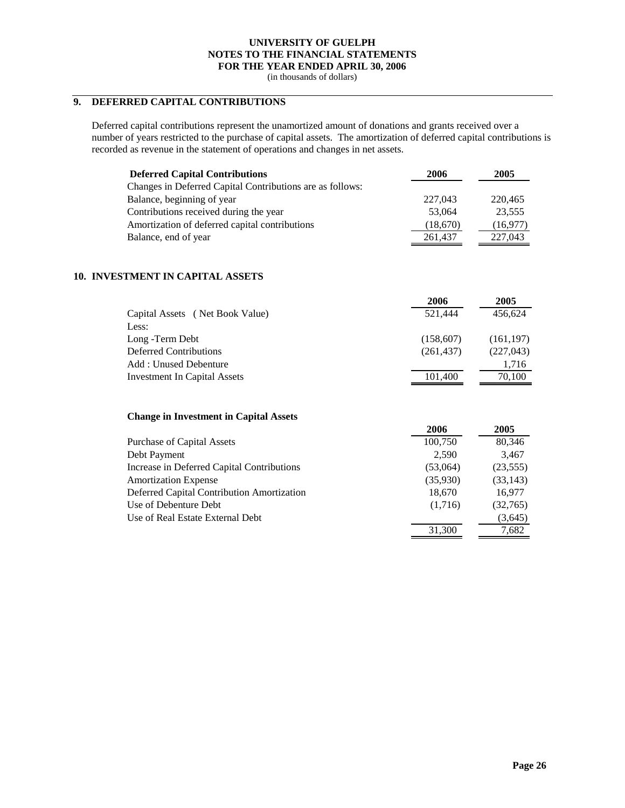(in thousands of dollars)

# **9. DEFERRED CAPITAL CONTRIBUTIONS**

Deferred capital contributions represent the unamortized amount of donations and grants received over a number of years restricted to the purchase of capital assets. The amortization of deferred capital contributions is recorded as revenue in the statement of operations and changes in net assets.

| <b>Deferred Capital Contributions</b>                     | 2006     | 2005     |
|-----------------------------------------------------------|----------|----------|
| Changes in Deferred Capital Contributions are as follows: |          |          |
| Balance, beginning of year                                | 227,043  | 220,465  |
| Contributions received during the year                    | 53,064   | 23,555   |
| Amortization of deferred capital contributions            | (18,670) | (16,977) |
| Balance, end of year                                      | 261,437  | 227,043  |

### **10. INVESTMENT IN CAPITAL ASSETS**

|                                     | 2006       | 2005       |
|-------------------------------------|------------|------------|
| Capital Assets (Net Book Value)     | 521.444    | 456,624    |
| Less:                               |            |            |
| Long -Term Debt                     | (158,607)  | (161, 197) |
| Deferred Contributions              | (261, 437) | (227, 043) |
| Add: Unused Debenture               |            | 1,716      |
| <b>Investment In Capital Assets</b> | 101,400    | 70,100     |
|                                     |            |            |

#### **Change in Investment in Capital Assets**

|                                            | 2006     | 2005      |
|--------------------------------------------|----------|-----------|
| <b>Purchase of Capital Assets</b>          | 100,750  | 80,346    |
| Debt Payment                               | 2.590    | 3,467     |
| Increase in Deferred Capital Contributions | (53,064) | (23, 555) |
| <b>Amortization Expense</b>                | (35,930) | (33, 143) |
| Deferred Capital Contribution Amortization | 18,670   | 16,977    |
| Use of Debenture Debt                      | (1,716)  | (32,765)  |
| Use of Real Estate External Debt           |          | (3,645)   |
|                                            | 31,300   | 7,682     |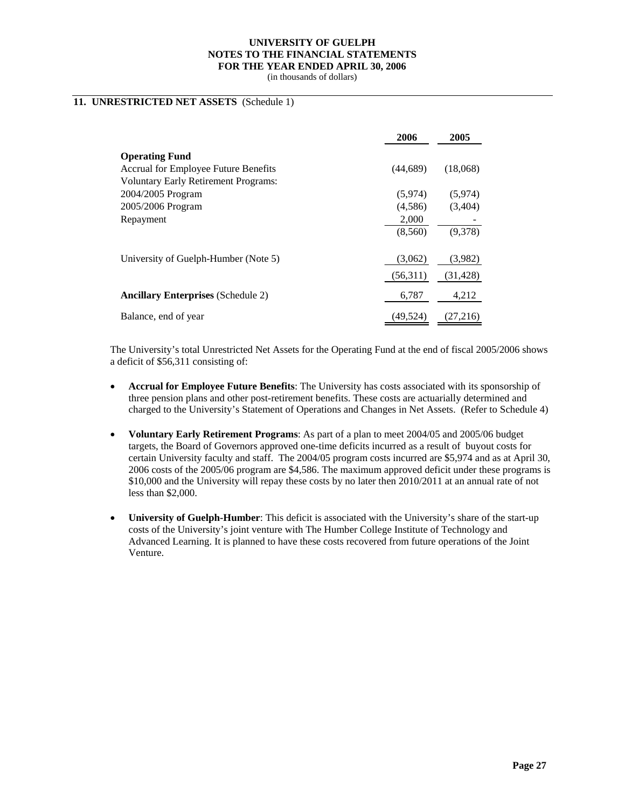(in thousands of dollars)

### **11. UNRESTRICTED NET ASSETS** (Schedule 1)

|                                             | 2006     | 2005      |
|---------------------------------------------|----------|-----------|
| <b>Operating Fund</b>                       |          |           |
| <b>Accrual for Employee Future Benefits</b> | (44,689) | (18,068)  |
| <b>Voluntary Early Retirement Programs:</b> |          |           |
| 2004/2005 Program                           | (5,974)  | (5,974)   |
| 2005/2006 Program                           | (4,586)  | (3,404)   |
| Repayment                                   | 2,000    |           |
|                                             | (8,560)  | (9,378)   |
| University of Guelph-Humber (Note 5)        | (3,062)  | (3,982)   |
|                                             | (56,311) | (31, 428) |
| <b>Ancillary Enterprises (Schedule 2)</b>   | 6,787    | 4,212     |
| Balance, end of year                        | (49.524) | (27,216)  |

The University's total Unrestricted Net Assets for the Operating Fund at the end of fiscal 2005/2006 shows a deficit of \$56,311 consisting of:

- **Accrual for Employee Future Benefits**: The University has costs associated with its sponsorship of three pension plans and other post-retirement benefits. These costs are actuarially determined and charged to the University's Statement of Operations and Changes in Net Assets. (Refer to Schedule 4)
- **Voluntary Early Retirement Programs**: As part of a plan to meet 2004/05 and 2005/06 budget targets, the Board of Governors approved one-time deficits incurred as a result of buyout costs for certain University faculty and staff. The 2004/05 program costs incurred are \$5,974 and as at April 30, 2006 costs of the 2005/06 program are \$4,586. The maximum approved deficit under these programs is \$10,000 and the University will repay these costs by no later then 2010/2011 at an annual rate of not less than \$2,000.
- **University of Guelph-Humber**: This deficit is associated with the University's share of the start-up costs of the University's joint venture with The Humber College Institute of Technology and Advanced Learning. It is planned to have these costs recovered from future operations of the Joint Venture.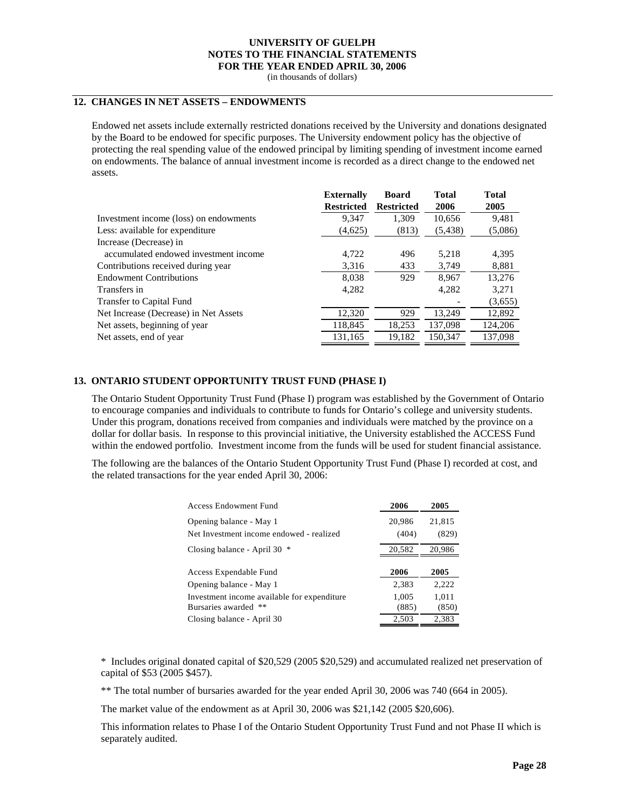(in thousands of dollars)

### **12. CHANGES IN NET ASSETS – ENDOWMENTS**

Endowed net assets include externally restricted donations received by the University and donations designated by the Board to be endowed for specific purposes. The University endowment policy has the objective of protecting the real spending value of the endowed principal by limiting spending of investment income earned on endowments. The balance of annual investment income is recorded as a direct change to the endowed net assets.

| <b>Externally</b> | <b>Board</b>      | <b>Total</b> | <b>Total</b> |
|-------------------|-------------------|--------------|--------------|
| <b>Restricted</b> | <b>Restricted</b> | 2006         | 2005         |
| 9,347             | 1,309             | 10,656       | 9,481        |
| (4,625)           | (813)             | (5,438)      | (5,086)      |
|                   |                   |              |              |
| 4.722             | 496               | 5.218        | 4,395        |
| 3,316             | 433               | 3.749        | 8,881        |
| 8,038             | 929               | 8.967        | 13,276       |
| 4.282             |                   | 4.282        | 3,271        |
|                   |                   |              | (3,655)      |
| 12,320            | 929               | 13.249       | 12,892       |
| 118,845           | 18,253            | 137,098      | 124,206      |
| 131,165           | 19,182            | 150,347      | 137,098      |
|                   |                   |              |              |

#### **13. ONTARIO STUDENT OPPORTUNITY TRUST FUND (PHASE I)**

The Ontario Student Opportunity Trust Fund (Phase I) program was established by the Government of Ontario to encourage companies and individuals to contribute to funds for Ontario's college and university students. Under this program, donations received from companies and individuals were matched by the province on a dollar for dollar basis. In response to this provincial initiative, the University established the ACCESS Fund within the endowed portfolio. Investment income from the funds will be used for student financial assistance.

The following are the balances of the Ontario Student Opportunity Trust Fund (Phase I) recorded at cost, and the related transactions for the year ended April 30, 2006:

| Access Endowment Fund                                                  | 2006            | 2005            |
|------------------------------------------------------------------------|-----------------|-----------------|
| Opening balance - May 1<br>Net Investment income endowed - realized    | 20,986<br>(404) | 21,815<br>(829) |
| Closing balance - April 30<br>∗                                        | 20,582          | 20,986          |
| Access Expendable Fund                                                 | 2006            | 2005            |
| Opening balance - May 1                                                | 2,383           | 2,222           |
| Investment income available for expenditure<br>Bursaries awarded<br>** | 1,005<br>(885)  | 1,011<br>(850)  |
| Closing balance - April 30                                             | 2,503           | 2,383           |

\* Includes original donated capital of \$20,529 (2005 \$20,529) and accumulated realized net preservation of capital of \$53 (2005 \$457).

\*\* The total number of bursaries awarded for the year ended April 30, 2006 was 740 (664 in 2005).

The market value of the endowment as at April 30, 2006 was \$21,142 (2005 \$20,606).

This information relates to Phase I of the Ontario Student Opportunity Trust Fund and not Phase II which is separately audited.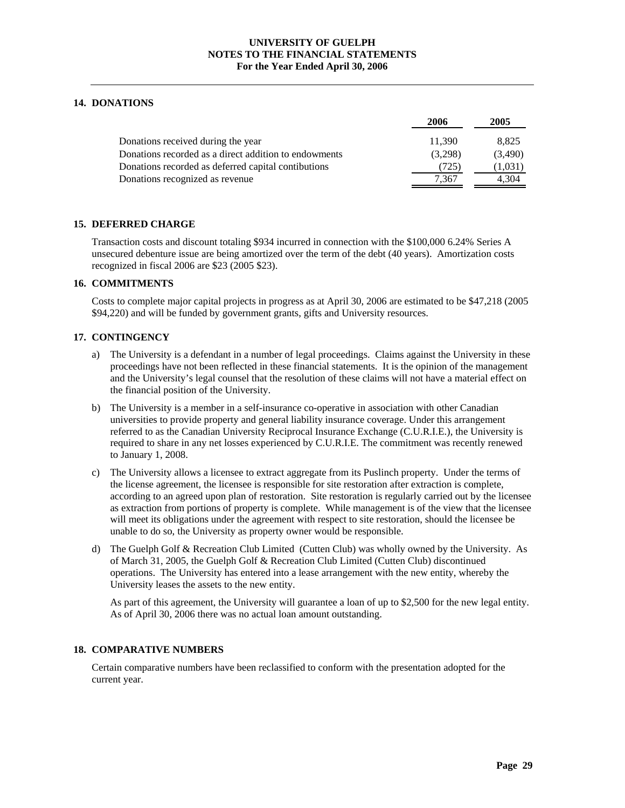### **14. DONATIONS**

|                                                       | 2006    | 2005    |
|-------------------------------------------------------|---------|---------|
| Donations received during the year                    | 11.390  | 8,825   |
| Donations recorded as a direct addition to endowments | (3,298) | (3,490) |
| Donations recorded as deferred capital contibutions   | (725)   | (1,031) |
| Donations recognized as revenue                       | 7.367   | 4.304   |

### **15. DEFERRED CHARGE**

Transaction costs and discount totaling \$934 incurred in connection with the \$100,000 6.24% Series A unsecured debenture issue are being amortized over the term of the debt (40 years). Amortization costs recognized in fiscal 2006 are \$23 (2005 \$23).

### **16. COMMITMENTS**

Costs to complete major capital projects in progress as at April 30, 2006 are estimated to be \$47,218 (2005 \$94,220) and will be funded by government grants, gifts and University resources.

### **17. CONTINGENCY**

- a) The University is a defendant in a number of legal proceedings. Claims against the University in these proceedings have not been reflected in these financial statements. It is the opinion of the management and the University's legal counsel that the resolution of these claims will not have a material effect on the financial position of the University.
- b) The University is a member in a self-insurance co-operative in association with other Canadian universities to provide property and general liability insurance coverage. Under this arrangement referred to as the Canadian University Reciprocal Insurance Exchange (C.U.R.I.E.), the University is required to share in any net losses experienced by C.U.R.I.E. The commitment was recently renewed to January 1, 2008.
- c) The University allows a licensee to extract aggregate from its Puslinch property. Under the terms of the license agreement, the licensee is responsible for site restoration after extraction is complete, according to an agreed upon plan of restoration. Site restoration is regularly carried out by the licensee as extraction from portions of property is complete. While management is of the view that the licensee will meet its obligations under the agreement with respect to site restoration, should the licensee be unable to do so, the University as property owner would be responsible.
- d) The Guelph Golf & Recreation Club Limited (Cutten Club) was wholly owned by the University. As of March 31, 2005, the Guelph Golf & Recreation Club Limited (Cutten Club) discontinued operations. The University has entered into a lease arrangement with the new entity, whereby the University leases the assets to the new entity.

As part of this agreement, the University will guarantee a loan of up to \$2,500 for the new legal entity. As of April 30, 2006 there was no actual loan amount outstanding.

### **18. COMPARATIVE NUMBERS**

Certain comparative numbers have been reclassified to conform with the presentation adopted for the current year.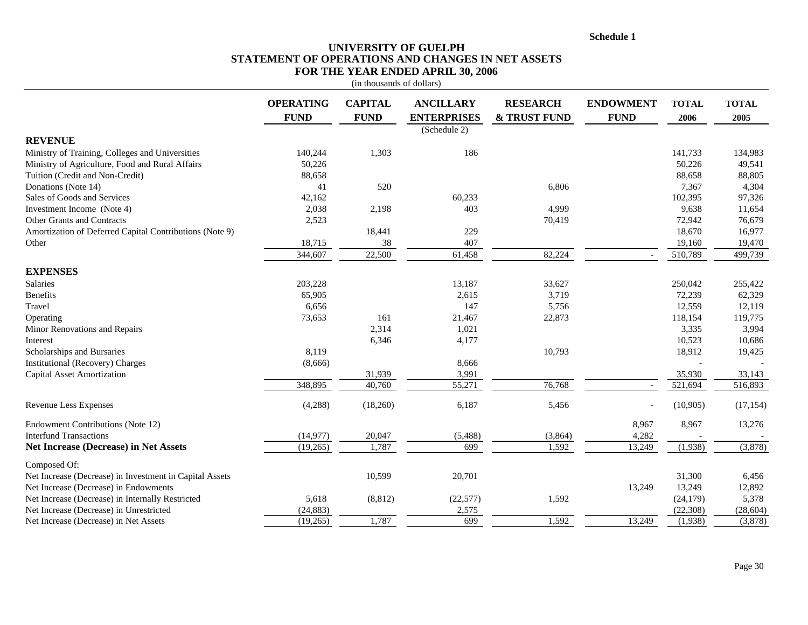**Schedule 1**

### **UNIVERSITY OF GUELPH STATEMENT OF OPERATIONS AND CHANGES IN NET ASSETS FOR THE YEAR ENDED APRIL 30, 2006**

|                                                         |                                 | (in thousands of dollars)     |                                        |                                            |                                 |                      |                      |
|---------------------------------------------------------|---------------------------------|-------------------------------|----------------------------------------|--------------------------------------------|---------------------------------|----------------------|----------------------|
|                                                         | <b>OPERATING</b><br><b>FUND</b> | <b>CAPITAL</b><br><b>FUND</b> | <b>ANCILLARY</b><br><b>ENTERPRISES</b> | <b>RESEARCH</b><br><b>&amp; TRUST FUND</b> | <b>ENDOWMENT</b><br><b>FUND</b> | <b>TOTAL</b><br>2006 | <b>TOTAL</b><br>2005 |
| <b>REVENUE</b>                                          |                                 |                               | (Schedule 2)                           |                                            |                                 |                      |                      |
| Ministry of Training, Colleges and Universities         | 140,244                         | 1,303                         | 186                                    |                                            |                                 | 141,733              | 134,983              |
| Ministry of Agriculture, Food and Rural Affairs         | 50,226                          |                               |                                        |                                            |                                 | 50,226               | 49,541               |
| Tuition (Credit and Non-Credit)                         | 88,658                          |                               |                                        |                                            |                                 | 88,658               | 88,805               |
| Donations (Note 14)                                     | 41                              | 520                           |                                        | 6,806                                      |                                 | 7,367                | 4,304                |
| Sales of Goods and Services                             | 42,162                          |                               | 60,233                                 |                                            |                                 | 102,395              | 97,326               |
| Investment Income (Note 4)                              | 2,038                           | 2,198                         | 403                                    | 4,999                                      |                                 | 9,638                | 11,654               |
| Other Grants and Contracts                              | 2,523                           |                               |                                        | 70,419                                     |                                 | 72,942               | 76,679               |
| Amortization of Deferred Capital Contributions (Note 9) |                                 | 18,441                        | 229                                    |                                            |                                 | 18,670               | 16,977               |
| Other                                                   | 18,715                          | 38                            | 407                                    |                                            |                                 | 19,160               | 19,470               |
|                                                         | 344,607                         | 22,500                        | 61,458                                 | 82,224                                     |                                 | 510,789              | 499,739              |
| <b>EXPENSES</b>                                         |                                 |                               |                                        |                                            |                                 |                      |                      |
| Salaries                                                | 203,228                         |                               | 13,187                                 | 33,627                                     |                                 | 250,042              | 255,422              |
| Benefits                                                | 65,905                          |                               | 2,615                                  | 3,719                                      |                                 | 72,239               | 62,329               |
| Travel                                                  | 6,656                           |                               | 147                                    | 5,756                                      |                                 | 12,559               | 12,119               |
| Operating                                               | 73,653                          | 161                           | 21,467                                 | 22,873                                     |                                 | 118,154              | 119,775              |
| Minor Renovations and Repairs                           |                                 | 2,314                         | 1,021                                  |                                            |                                 | 3,335                | 3,994                |
| Interest                                                |                                 | 6,346                         | 4,177                                  |                                            |                                 | 10,523               | 10,686               |
| Scholarships and Bursaries                              | 8,119                           |                               |                                        | 10,793                                     |                                 | 18,912               | 19,425               |
| Institutional (Recovery) Charges                        | (8,666)                         |                               | 8,666                                  |                                            |                                 |                      |                      |
| <b>Capital Asset Amortization</b>                       |                                 | 31,939                        | 3,991                                  |                                            |                                 | 35,930               | 33,143               |
|                                                         | 348,895                         | 40,760                        | 55,271                                 | 76,768                                     |                                 | 521,694              | 516,893              |
| Revenue Less Expenses                                   | (4,288)                         | (18,260)                      | 6,187                                  | 5,456                                      |                                 | (10, 905)            | (17, 154)            |
| Endowment Contributions (Note 12)                       |                                 |                               |                                        |                                            | 8,967                           | 8,967                | 13,276               |
| <b>Interfund Transactions</b>                           | (14, 977)                       | 20,047                        | (5,488)                                | (3,864)                                    | 4,282                           |                      |                      |
| <b>Net Increase (Decrease) in Net Assets</b>            | (19,265)                        | 1,787                         | 699                                    | 1,592                                      | 13,249                          | (1,938)              | (3,878)              |
| Composed Of:                                            |                                 |                               |                                        |                                            |                                 |                      |                      |
| Net Increase (Decrease) in Investment in Capital Assets |                                 | 10,599                        | 20,701                                 |                                            |                                 | 31,300               | 6,456                |
| Net Increase (Decrease) in Endowments                   |                                 |                               |                                        |                                            | 13,249                          | 13,249               | 12,892               |
| Net Increase (Decrease) in Internally Restricted        | 5,618                           | (8, 812)                      | (22, 577)                              | 1,592                                      |                                 | (24, 179)            | 5,378                |
| Net Increase (Decrease) in Unrestricted                 | (24, 883)                       |                               | 2,575                                  |                                            |                                 | (22, 308)            | (28, 604)            |
| Net Increase (Decrease) in Net Assets                   | (19,265)                        | 1,787                         | 699                                    | 1,592                                      | 13,249                          | (1,938)              | (3,878)              |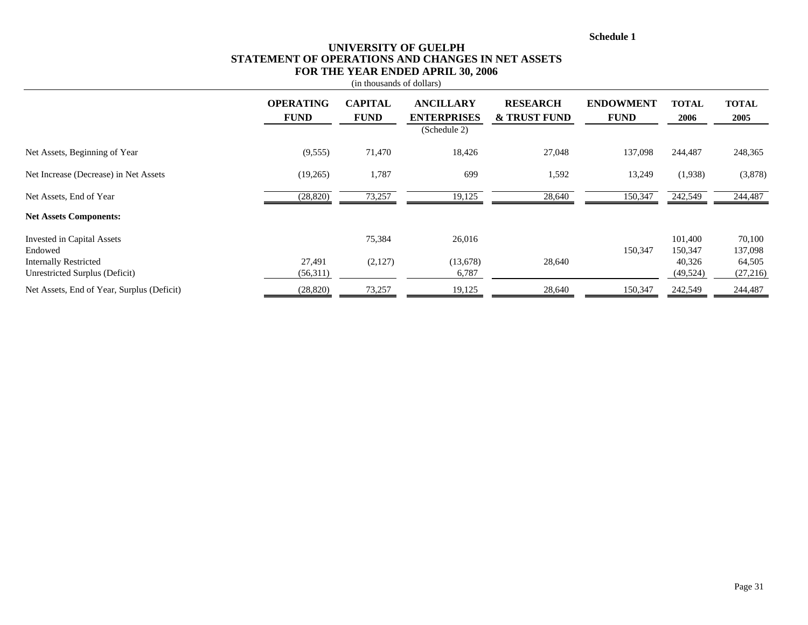**Schedule 1**

### **UNIVERSITY OF GUELPH STATEMENT OF OPERATIONS AND CHANGES IN NET ASSETS FOR THE YEAR ENDED APRIL 30, 2006**

|                                                                       |                                 | (in thousands of dollars)     |                                                        |                                            |                                 |                              |                             |
|-----------------------------------------------------------------------|---------------------------------|-------------------------------|--------------------------------------------------------|--------------------------------------------|---------------------------------|------------------------------|-----------------------------|
|                                                                       | <b>OPERATING</b><br><b>FUND</b> | <b>CAPITAL</b><br><b>FUND</b> | <b>ANCILLARY</b><br><b>ENTERPRISES</b><br>(Schedule 2) | <b>RESEARCH</b><br><b>&amp; TRUST FUND</b> | <b>ENDOWMENT</b><br><b>FUND</b> | <b>TOTAL</b><br>2006         | <b>TOTAL</b><br>2005        |
| Net Assets, Beginning of Year                                         | (9, 555)                        | 71,470                        | 18,426                                                 | 27,048                                     | 137,098                         | 244,487                      | 248,365                     |
| Net Increase (Decrease) in Net Assets                                 | (19,265)                        | 1,787                         | 699                                                    | 1,592                                      | 13,249                          | (1,938)                      | (3,878)                     |
| Net Assets, End of Year                                               | (28, 820)                       | 73,257                        | 19,125                                                 | 28,640                                     | 150,347                         | 242,549                      | 244,487                     |
| <b>Net Assets Components:</b>                                         |                                 |                               |                                                        |                                            |                                 |                              |                             |
| Invested in Capital Assets<br>Endowed<br><b>Internally Restricted</b> | 27,491                          | 75,384<br>(2,127)             | 26,016<br>(13,678)                                     | 28,640                                     | 150,347                         | 101,400<br>150,347<br>40,326 | 70,100<br>137,098<br>64,505 |
| Unrestricted Surplus (Deficit)                                        | (56,311)                        |                               | 6,787                                                  |                                            |                                 | (49, 524)                    | (27,216)                    |
| Net Assets, End of Year, Surplus (Deficit)                            | (28, 820)                       | 73,257                        | 19,125                                                 | 28,640                                     | 150,347                         | 242,549                      | 244,487                     |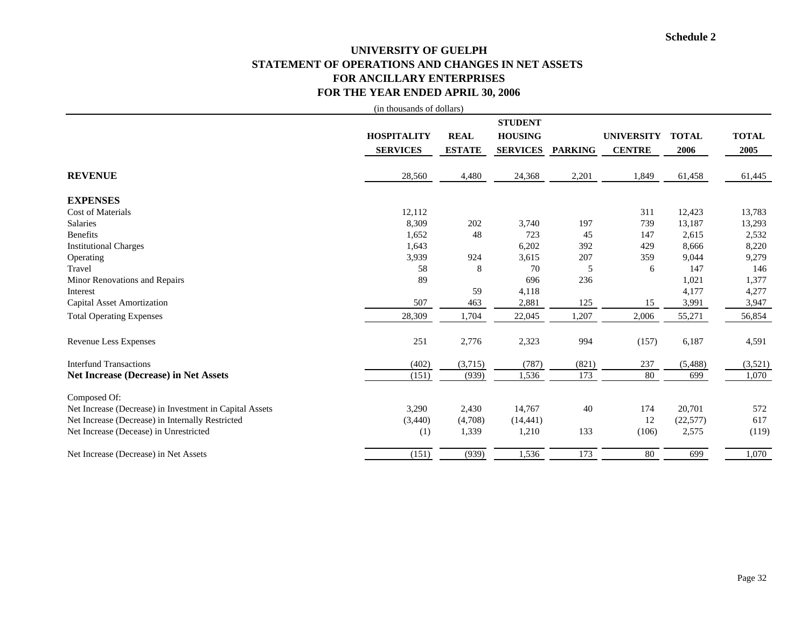# **UNIVERSITY OF GUELPH STATEMENT OF OPERATIONS AND CHANGES IN NET ASSETS FOR ANCILLARY ENTERPRISES FOR THE YEAR ENDED APRIL 30, 2006**

|                                                         | (in thousands of dollars)             |                              |                                                     |                |                                    |                      |                      |
|---------------------------------------------------------|---------------------------------------|------------------------------|-----------------------------------------------------|----------------|------------------------------------|----------------------|----------------------|
|                                                         | <b>HOSPITALITY</b><br><b>SERVICES</b> | <b>REAL</b><br><b>ESTATE</b> | <b>STUDENT</b><br><b>HOUSING</b><br><b>SERVICES</b> | <b>PARKING</b> | <b>UNIVERSITY</b><br><b>CENTRE</b> | <b>TOTAL</b><br>2006 | <b>TOTAL</b><br>2005 |
|                                                         |                                       |                              |                                                     |                |                                    |                      |                      |
| <b>REVENUE</b>                                          | 28,560                                | 4,480                        | 24,368                                              | 2,201          | 1,849                              | 61,458               | 61,445               |
| <b>EXPENSES</b>                                         |                                       |                              |                                                     |                |                                    |                      |                      |
| <b>Cost of Materials</b>                                | 12,112                                |                              |                                                     |                | 311                                | 12,423               | 13,783               |
| Salaries                                                | 8,309                                 | 202                          | 3,740                                               | 197            | 739                                | 13,187               | 13,293               |
| <b>Benefits</b>                                         | 1,652                                 | 48                           | 723                                                 | 45             | 147                                | 2,615                | 2,532                |
| <b>Institutional Charges</b>                            | 1,643                                 |                              | 6,202                                               | 392            | 429                                | 8,666                | 8,220                |
| Operating                                               | 3,939                                 | 924                          | 3,615                                               | 207            | 359                                | 9,044                | 9,279                |
| Travel                                                  | 58                                    | 8                            | 70                                                  | 5              | 6                                  | 147                  | 146                  |
| Minor Renovations and Repairs                           | 89                                    |                              | 696                                                 | 236            |                                    | 1,021                | 1,377                |
| Interest                                                |                                       | 59                           | 4,118                                               |                |                                    | 4,177                | 4,277                |
| <b>Capital Asset Amortization</b>                       | 507                                   | 463                          | 2,881                                               | 125            | 15                                 | 3,991                | 3,947                |
| <b>Total Operating Expenses</b>                         | 28,309                                | 1,704                        | 22,045                                              | 1,207          | 2,006                              | 55,271               | 56,854               |
| <b>Revenue Less Expenses</b>                            | 251                                   | 2,776                        | 2,323                                               | 994            | (157)                              | 6,187                | 4,591                |
| <b>Interfund Transactions</b>                           | (402)                                 | (3,715)                      | (787)                                               | (821)          | 237                                | (5,488)              | (3,521)              |
| <b>Net Increase (Decrease) in Net Assets</b>            | (151)                                 | (939)                        | 1,536                                               | 173            | 80                                 | 699                  | 1,070                |
| Composed Of:                                            |                                       |                              |                                                     |                |                                    |                      |                      |
| Net Increase (Decrease) in Investment in Capital Assets | 3,290                                 | 2,430                        | 14,767                                              | 40             | 174                                | 20,701               | 572                  |
| Net Increase (Decrease) in Internally Restricted        | (3,440)                               | (4,708)                      | (14, 441)                                           |                | 12                                 | (22, 577)            | 617                  |
| Net Increase (Decease) in Unrestricted                  | (1)                                   | 1,339                        | 1,210                                               | 133            | (106)                              | 2,575                | (119)                |
| Net Increase (Decrease) in Net Assets                   | (151)                                 | (939)                        | 1,536                                               | 173            | 80                                 | 699                  | 1,070                |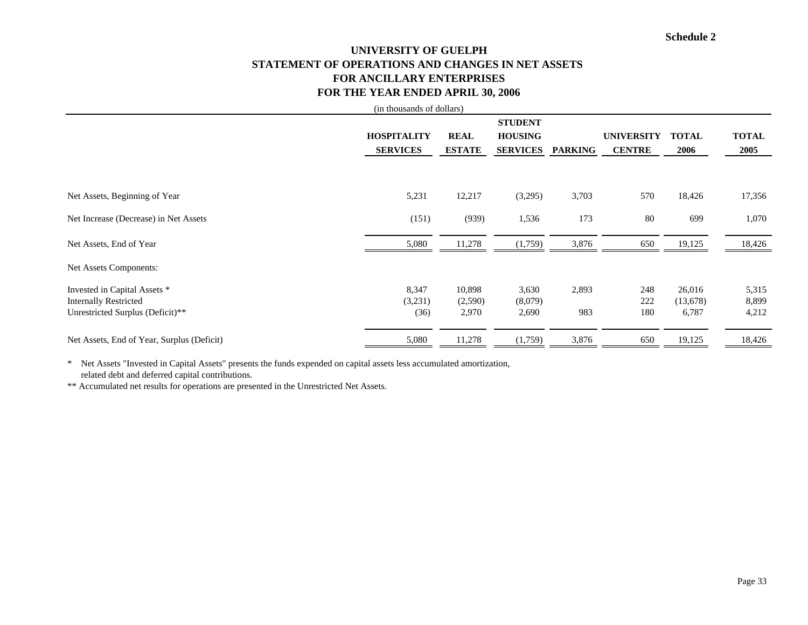# **UNIVERSITY OF GUELPH STATEMENT OF OPERATIONS AND CHANGES IN NET ASSETS FOR ANCILLARY ENTERPRISESFOR THE YEAR ENDED APRIL 30, 2006**

|                                            | (in thousands of dollars) |               |                 |                |                   |              |              |
|--------------------------------------------|---------------------------|---------------|-----------------|----------------|-------------------|--------------|--------------|
|                                            |                           |               | <b>STUDENT</b>  |                |                   |              |              |
|                                            | <b>HOSPITALITY</b>        | <b>REAL</b>   | <b>HOUSING</b>  |                | <b>UNIVERSITY</b> | <b>TOTAL</b> | <b>TOTAL</b> |
|                                            | <b>SERVICES</b>           | <b>ESTATE</b> | <b>SERVICES</b> | <b>PARKING</b> | <b>CENTRE</b>     | 2006         | 2005         |
|                                            |                           |               |                 |                |                   |              |              |
|                                            |                           |               |                 |                |                   |              |              |
| Net Assets, Beginning of Year              | 5,231                     | 12,217        | (3,295)         | 3,703          | 570               | 18,426       | 17,356       |
| Net Increase (Decrease) in Net Assets      | (151)                     | (939)         | 1,536           | 173            | 80                | 699          | 1,070        |
|                                            |                           |               |                 |                |                   |              |              |
| Net Assets, End of Year                    | 5,080                     | 11,278        | (1,759)         | 3,876          | 650               | 19,125       | 18,426       |
| Net Assets Components:                     |                           |               |                 |                |                   |              |              |
| Invested in Capital Assets *               | 8,347                     | 10,898        | 3,630           | 2,893          | 248               | 26,016       | 5,315        |
| <b>Internally Restricted</b>               | (3,231)                   | (2,590)       | (8,079)         |                | 222               | (13,678)     | 8,899        |
| Unrestricted Surplus (Deficit)**           | (36)                      | 2,970         | 2,690           | 983            | 180               | 6,787        | 4,212        |
| Net Assets, End of Year, Surplus (Deficit) | 5,080                     | 11,278        | (1,759)         | 3,876          | 650               | 19,125       | 18,426       |
|                                            |                           |               |                 |                |                   |              |              |

\* Net Assets "Invested in Capital Assets" presents the funds expended on capital assets less accumulated amortization, related debt and deferred capital contributions.

\*\* Accumulated net results for operations are presented in the Unrestricted Net Assets.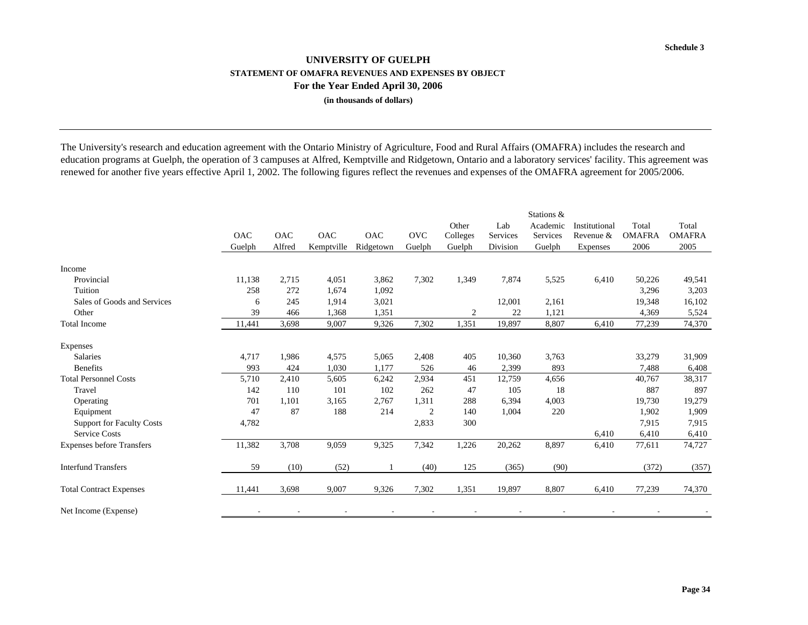### **UNIVERSITY OF GUELPHSTATEMENT OF OMAFRA REVENUES AND EXPENSES BY OBJECT For the Year Ended April 30, 2006 (in thousands of dollars)**

The University's research and education agreement with the Ontario Ministry of Agriculture, Food and Rural Affairs (OMAFRA) includes the research and education programs at Guelph, the operation of 3 campuses at Alfred, Kemptville and Ridgetown, Ontario and a laboratory services' facility. This agreement was renewed for another five years effective April 1, 2002. The following figures reflect the revenues and expenses of the OMAFRA agreement for 2005/2006.

|                                  | <b>OAC</b> | <b>OAC</b> | <b>OAC</b> | <b>OAC</b> | <b>OVC</b>     | Other<br>Colleges | Lab<br>Services | Stations &<br>Academic<br>Services | Institutional<br>Revenue & | Total<br><b>OMAFRA</b> | Total<br><b>OMAFRA</b> |
|----------------------------------|------------|------------|------------|------------|----------------|-------------------|-----------------|------------------------------------|----------------------------|------------------------|------------------------|
|                                  | Guelph     | Alfred     | Kemptville | Ridgetown  | Guelph         | Guelph            | Division        | Guelph                             | Expenses                   | 2006                   | 2005                   |
| Income                           |            |            |            |            |                |                   |                 |                                    |                            |                        |                        |
| Provincial                       | 11,138     | 2,715      | 4,051      | 3,862      | 7,302          | 1,349             | 7,874           | 5,525                              | 6,410                      | 50,226                 | 49,541                 |
| Tuition                          | 258        | 272        | 1,674      | 1,092      |                |                   |                 |                                    |                            | 3,296                  | 3,203                  |
| Sales of Goods and Services      | 6          | 245        | 1,914      | 3,021      |                |                   | 12,001          | 2,161                              |                            | 19,348                 | 16,102                 |
| Other                            | 39         | 466        | 1,368      | 1,351      |                | $\overline{2}$    | 22              | 1,121                              |                            | 4,369                  | 5,524                  |
| <b>Total Income</b>              | 11,441     | 3,698      | 9,007      | 9,326      | 7,302          | 1,351             | 19,897          | 8,807                              | 6,410                      | 77,239                 | 74,370                 |
| Expenses                         |            |            |            |            |                |                   |                 |                                    |                            |                        |                        |
| <b>Salaries</b>                  | 4,717      | 1,986      | 4,575      | 5,065      | 2,408          | 405               | 10,360          | 3,763                              |                            | 33,279                 | 31,909                 |
| <b>Benefits</b>                  | 993        | 424        | 1,030      | 1,177      | 526            | 46                | 2,399           | 893                                |                            | 7,488                  | 6,408                  |
| <b>Total Personnel Costs</b>     | 5,710      | 2,410      | 5,605      | 6,242      | 2,934          | 451               | 12,759          | 4,656                              |                            | 40,767                 | 38,317                 |
| Travel                           | 142        | 110        | 101        | 102        | 262            | 47                | 105             | 18                                 |                            | 887                    | 897                    |
| Operating                        | 701        | 1,101      | 3,165      | 2,767      | 1,311          | 288               | 6,394           | 4,003                              |                            | 19,730                 | 19,279                 |
| Equipment                        | 47         | 87         | 188        | 214        | $\overline{2}$ | 140               | 1,004           | 220                                |                            | 1,902                  | 1,909                  |
| <b>Support for Faculty Costs</b> | 4,782      |            |            |            | 2,833          | 300               |                 |                                    |                            | 7,915                  | 7,915                  |
| <b>Service Costs</b>             |            |            |            |            |                |                   |                 |                                    | 6,410                      | 6,410                  | 6,410                  |
| <b>Expenses before Transfers</b> | 11,382     | 3,708      | 9,059      | 9,325      | 7,342          | 1,226             | 20,262          | 8,897                              | 6,410                      | 77,611                 | 74,727                 |
| <b>Interfund Transfers</b>       | 59         | (10)       | (52)       |            | (40)           | 125               | (365)           | (90)                               |                            | (372)                  | (357)                  |
| <b>Total Contract Expenses</b>   | 11,441     | 3,698      | 9,007      | 9,326      | 7,302          | 1,351             | 19,897          | 8,807                              | 6,410                      | 77,239                 | 74,370                 |
| Net Income (Expense)             |            |            |            |            |                |                   |                 |                                    |                            |                        |                        |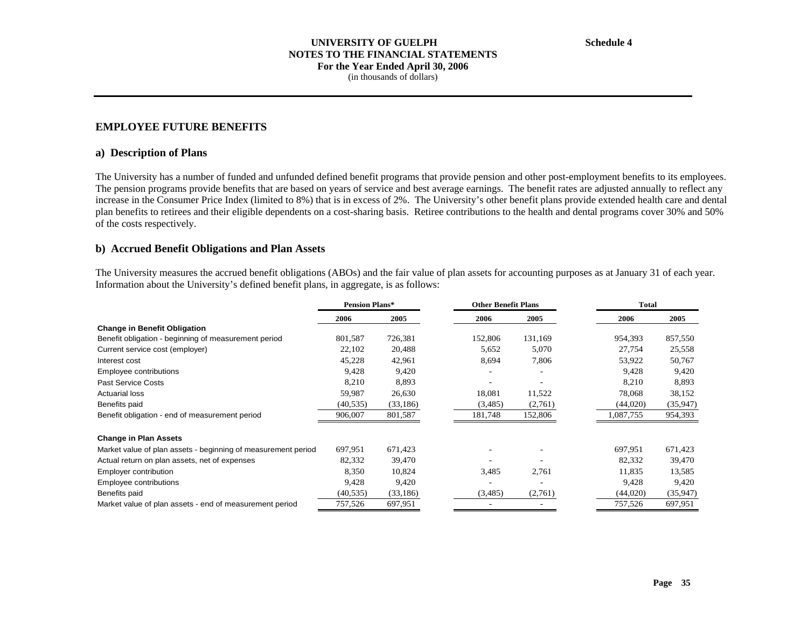### **EMPLOYEE FUTURE BENEFITS**

#### **a) Description of Plans**

The University has a number of funded and unfunded defined benefit programs that provide pension and other post-employment benefits to its employees. The pension programs provide benefits that are based on years of service and best average earnings. The benefit rates are adjusted annually to reflect any increase in the Consumer Price Index (limited to 8%) that is in excess of 2%. The University's other benefit plans provide extended health care and dental plan benefits to retirees and their eligible dependents on a cost-sharing basis. Retiree contributions to the health and dental programs cover 30% and 50% of the costs respectively.

#### **b) Accrued Benefit Obligations and Plan Assets**

The University measures the accrued benefit obligations (ABOs) and the fair value of plan assets for accounting purposes as at January 31 of each year. Information about the University's defined benefit plans, in aggregate, is as follows:

|                                                               | <b>Pension Plans*</b> |           |         | <b>Other Benefit Plans</b> |           | Total    |  |
|---------------------------------------------------------------|-----------------------|-----------|---------|----------------------------|-----------|----------|--|
|                                                               | 2006                  | 2005      | 2006    | 2005                       | 2006      | 2005     |  |
| <b>Change in Benefit Obligation</b>                           |                       |           |         |                            |           |          |  |
| Benefit obligation - beginning of measurement period          | 801,587               | 726,381   | 152,806 | 131,169                    | 954,393   | 857,550  |  |
| Current service cost (employer)                               | 22,102                | 20,488    | 5,652   | 5,070                      | 27,754    | 25,558   |  |
| Interest cost                                                 | 45,228                | 42,961    | 8,694   | 7,806                      | 53,922    | 50,767   |  |
| Employee contributions                                        | 9,428                 | 9,420     |         |                            | 9,428     | 9,420    |  |
| <b>Past Service Costs</b>                                     | 8,210                 | 8,893     |         |                            | 8,210     | 8,893    |  |
| <b>Actuarial loss</b>                                         | 59,987                | 26,630    | 18,081  | 11,522                     | 78,068    | 38,152   |  |
| Benefits paid                                                 | (40, 535)             | (33, 186) | (3,485) | (2,761)                    | (44,020)  | (35,947) |  |
| Benefit obligation - end of measurement period                | 906,007               | 801,587   | 181,748 | 152,806                    | 1,087,755 | 954,393  |  |
| <b>Change in Plan Assets</b>                                  |                       |           |         |                            |           |          |  |
| Market value of plan assets - beginning of measurement period | 697,951               | 671,423   |         |                            | 697,951   | 671,423  |  |
| Actual return on plan assets, net of expenses                 | 82,332                | 39,470    |         |                            | 82,332    | 39,470   |  |
| Employer contribution                                         | 8,350                 | 10,824    | 3,485   | 2,761                      | 11,835    | 13,585   |  |
| Employee contributions                                        | 9,428                 | 9,420     |         |                            | 9,428     | 9,420    |  |
| Benefits paid                                                 | (40, 535)             | (33, 186) | (3,485) | (2,761)                    | (44,020)  | (35,947) |  |
| Market value of plan assets - end of measurement period       | 757,526               | 697,951   |         |                            | 757,526   | 697,951  |  |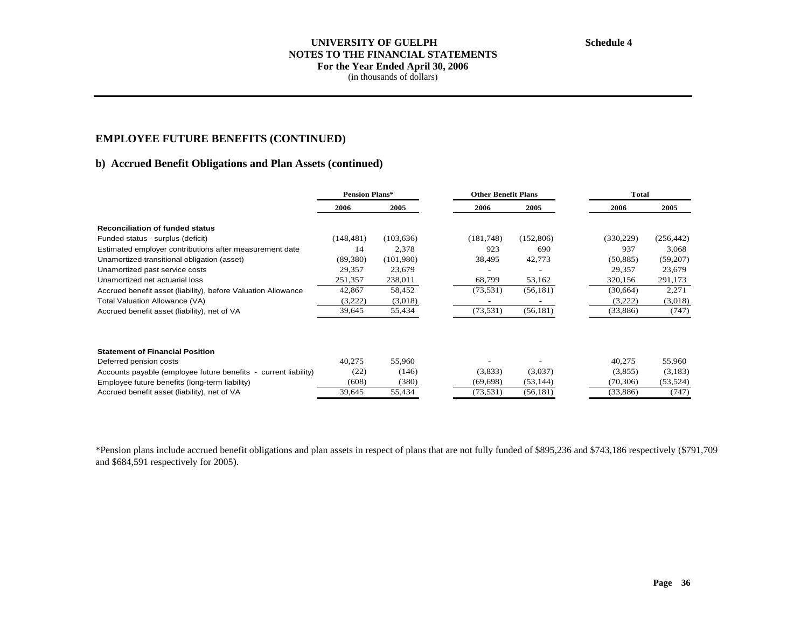### **UNIVERSITY OF GUELPH NOTES TO THE FINANCIAL STATEMENTS For the Year Ended April 30, 2006**  (in thousands of dollars)

# **EMPLOYEE FUTURE BENEFITS (CONTINUED)**

### **b) Accrued Benefit Obligations and Plan Assets (continued)**

|                                                                 | <b>Pension Plans*</b> |            |           | <b>Other Benefit Plans</b> |            | <b>Total</b> |  |
|-----------------------------------------------------------------|-----------------------|------------|-----------|----------------------------|------------|--------------|--|
|                                                                 | 2006                  | 2005       | 2006      | 2005                       | 2006       | 2005         |  |
| <b>Reconciliation of funded status</b>                          |                       |            |           |                            |            |              |  |
| Funded status - surplus (deficit)                               | (148, 481)            | (103, 636) | (181,748) | (152,806)                  | (330, 229) | (256, 442)   |  |
| Estimated employer contributions after measurement date         | 14                    | 2,378      | 923       | 690                        | 937        | 3,068        |  |
| Unamortized transitional obligation (asset)                     | (89,380)              | (101,980)  | 38,495    | 42,773                     | (50, 885)  | (59,207)     |  |
| Unamortized past service costs                                  | 29,357                | 23,679     |           |                            | 29,357     | 23,679       |  |
| Unamortized net actuarial loss                                  | 251,357               | 238,011    | 68,799    | 53,162                     | 320,156    | 291,173      |  |
| Accrued benefit asset (liability), before Valuation Allowance   | 42,867                | 58,452     | (73, 531) | (56, 181)                  | (30,664)   | 2,271        |  |
| Total Valuation Allowance (VA)                                  | (3,222)               | (3,018)    |           |                            | (3,222)    | (3,018)      |  |
| Accrued benefit asset (liability), net of VA                    | 39,645                | 55,434     | (73, 531) | (56, 181)                  | (33,886)   | (747)        |  |
|                                                                 |                       |            |           |                            |            |              |  |
| <b>Statement of Financial Position</b>                          |                       |            |           |                            |            |              |  |
| Deferred pension costs                                          | 40,275                | 55,960     |           |                            | 40,275     | 55,960       |  |
| Accounts payable (employee future benefits - current liability) | (22)                  | (146)      | (3,833)   | (3,037)                    | (3,855)    | (3,183)      |  |
| Employee future benefits (long-term liability)                  | (608)                 | (380)      | (69, 698) | (53, 144)                  | (70, 306)  | (53, 524)    |  |
| Accrued benefit asset (liability), net of VA                    | 39,645                | 55,434     | (73, 531) | (56, 181)                  | (33,886)   | (747)        |  |

\*Pension plans include accrued benefit obligations and plan assets in respect of plans that are not fully funded of \$895,236 and \$743,186 respectively (\$791,709 and \$684,591 respectively for 2005).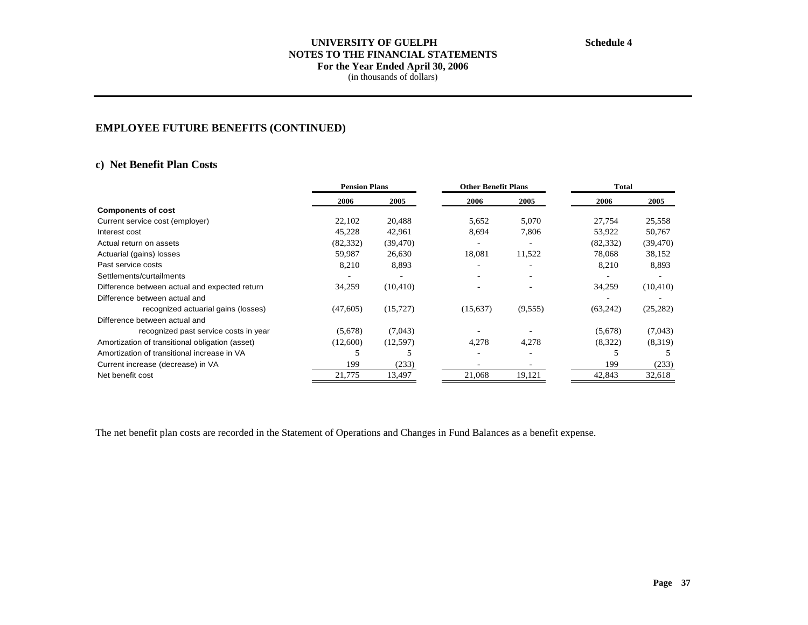# **UNIVERSITY OF GUELPH NOTES TO THE FINANCIAL STATEMENTS For the Year Ended April 30, 2006**

(in thousands of dollars)

# **EMPLOYEE FUTURE BENEFITS (CONTINUED)**

### **c) Net Benefit Plan Costs**

|                                                 | <b>Pension Plans</b> |           |                          | <b>Other Benefit Plans</b> |           | <b>Total</b> |
|-------------------------------------------------|----------------------|-----------|--------------------------|----------------------------|-----------|--------------|
|                                                 | 2006                 | 2005      | 2006                     | 2005                       | 2006      | 2005         |
| <b>Components of cost</b>                       |                      |           |                          |                            |           |              |
| Current service cost (employer)                 | 22,102               | 20,488    | 5,652                    | 5,070                      | 27,754    | 25,558       |
| Interest cost                                   | 45,228               | 42,961    | 8,694                    | 7,806                      | 53,922    | 50,767       |
| Actual return on assets                         | (82, 332)            | (39, 470) |                          | ۰                          | (82, 332) | (39, 470)    |
| Actuarial (gains) losses                        | 59,987               | 26,630    | 18,081                   | 11,522                     | 78,068    | 38,152       |
| Past service costs                              | 8,210                | 8,893     | ۰                        |                            | 8,210     | 8,893        |
| Settlements/curtailments                        |                      |           |                          |                            |           |              |
| Difference between actual and expected return   | 34,259               | (10, 410) | $\overline{\phantom{a}}$ |                            | 34,259    | (10, 410)    |
| Difference between actual and                   |                      |           |                          |                            |           |              |
| recognized actuarial gains (losses)             | (47,605)             | (15, 727) | (15,637)                 | (9, 555)                   | (63,242)  | (25, 282)    |
| Difference between actual and                   |                      |           |                          |                            |           |              |
| recognized past service costs in year           | (5,678)              | (7,043)   |                          |                            | (5,678)   | (7,043)      |
| Amortization of transitional obligation (asset) | (12,600)             | (12,597)  | 4,278                    | 4,278                      | (8,322)   | (8,319)      |
| Amortization of transitional increase in VA     |                      |           | $\overline{\phantom{a}}$ | ۰                          |           |              |
| Current increase (decrease) in VA               | 199                  | (233)     |                          |                            | 199       | (233)        |
| Net benefit cost                                | 21,775               | 13,497    | 21,068                   | 19,121                     | 42,843    | 32,618       |

The net benefit plan costs are recorded in the Statement of Operations and Changes in Fund Balances as a benefit expense.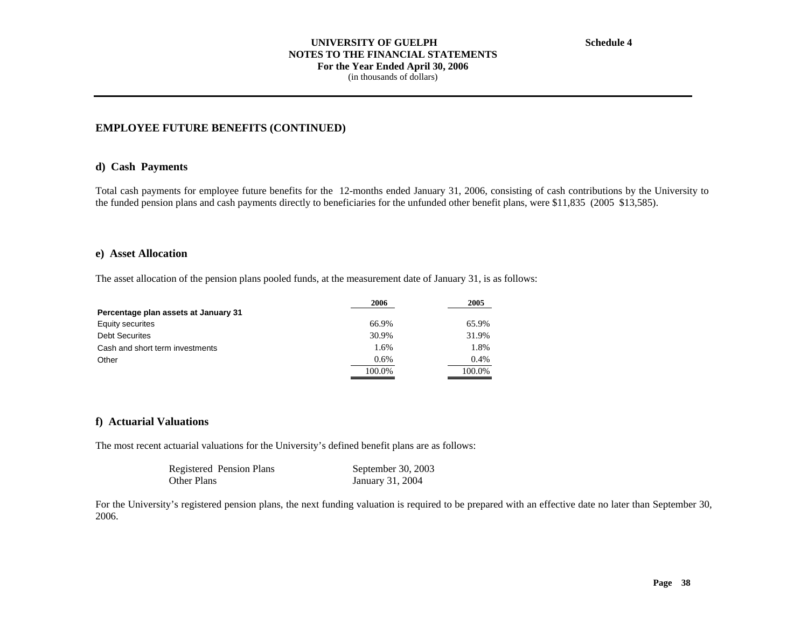#### **UNIVERSITY OF GUELPH NOTES TO THE FINANCIAL STATEMENTS For the Year Ended April 30, 2006**  (in thousands of dollars)

### **EMPLOYEE FUTURE BENEFITS (CONTINUED)**

#### **d) Cash Payments**

Total cash payments for employee future benefits for the 12-months ended January 31, 2006, consisting of cash contributions by the University to the funded pension plans and cash payments directly to beneficiaries for the unfunded other benefit plans, were \$11,835 (2005 \$13,585).

### **e) Asset Allocation**

The asset allocation of the pension plans pooled funds, at the measurement date of January 31, is as follows:

|                                      | 2006   | 2005   |
|--------------------------------------|--------|--------|
| Percentage plan assets at January 31 |        |        |
| Equity securites                     | 66.9%  | 65.9%  |
| <b>Debt Securites</b>                | 30.9%  | 31.9%  |
| Cash and short term investments      | 1.6%   | 1.8%   |
| Other                                | 0.6%   | 0.4%   |
|                                      | 100.0% | 100.0% |

### **f) Actuarial Valuations**

The most recent actuarial valuations for the University's defined benefit plans are as follows:

| Registered Pension Plans | September 30, 2003 |
|--------------------------|--------------------|
| Other Plans              | January 31, 2004   |

For the University's registered pension plans, the next funding valuation is required to be prepared with an effective date no later than September 30, 2006.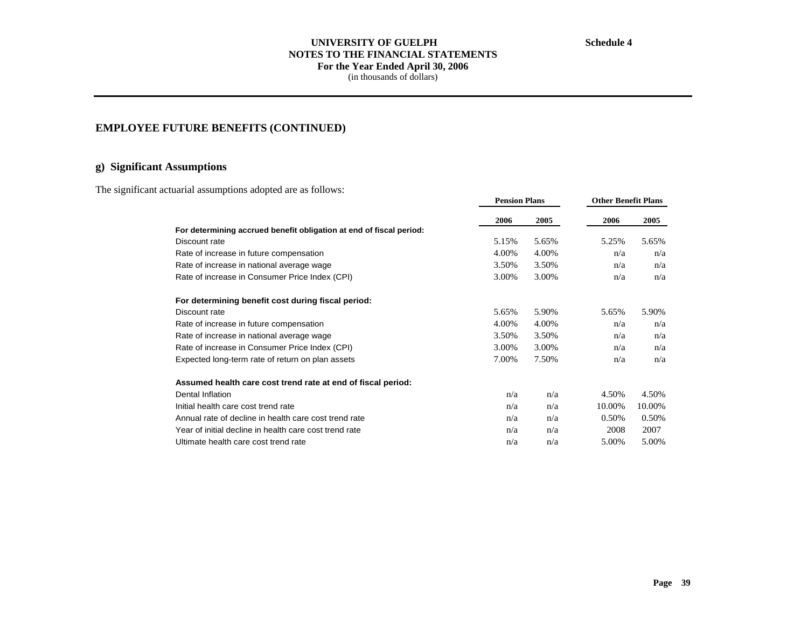### **UNIVERSITY OF GUELPH NOTES TO THE FINANCIAL STATEMENTS For the Year Ended April 30, 2006**  (in thousands of dollars)

# **EMPLOYEE FUTURE BENEFITS (CONTINUED)**

# **g) Significant Assumptions**

The significant actuarial assumptions adopted are as follows:

|                                                                     | <b>Pension Plans</b> |       |        | <b>Other Benefit Plans</b> |  |
|---------------------------------------------------------------------|----------------------|-------|--------|----------------------------|--|
|                                                                     | 2006                 | 2005  | 2006   | 2005                       |  |
| For determining accrued benefit obligation at end of fiscal period: |                      |       |        |                            |  |
| Discount rate                                                       | 5.15%                | 5.65% | 5.25%  | 5.65%                      |  |
| Rate of increase in future compensation                             | 4.00%                | 4.00% | n/a    | n/a                        |  |
| Rate of increase in national average wage                           | 3.50%                | 3.50% | n/a    | n/a                        |  |
| Rate of increase in Consumer Price Index (CPI)                      | 3.00%                | 3.00% | n/a    | n/a                        |  |
| For determining benefit cost during fiscal period:                  |                      |       |        |                            |  |
| Discount rate                                                       | 5.65%                | 5.90% | 5.65%  | 5.90%                      |  |
| Rate of increase in future compensation                             | 4.00%                | 4.00% | n/a    | n/a                        |  |
| Rate of increase in national average wage                           | 3.50%                | 3.50% | n/a    | n/a                        |  |
| Rate of increase in Consumer Price Index (CPI)                      | 3.00%                | 3.00% | n/a    | n/a                        |  |
| Expected long-term rate of return on plan assets                    | 7.00%                | 7.50% | n/a    | n/a                        |  |
| Assumed health care cost trend rate at end of fiscal period:        |                      |       |        |                            |  |
| Dental Inflation                                                    | n/a                  | n/a   | 4.50%  | 4.50%                      |  |
| Initial health care cost trend rate                                 | n/a                  | n/a   | 10.00% | 10.00%                     |  |
| Annual rate of decline in health care cost trend rate               | n/a                  | n/a   | 0.50%  | 0.50%                      |  |
| Year of initial decline in health care cost trend rate              | n/a                  | n/a   | 2008   | 2007                       |  |
| Ultimate health care cost trend rate                                | n/a                  | n/a   | 5.00%  | 5.00%                      |  |